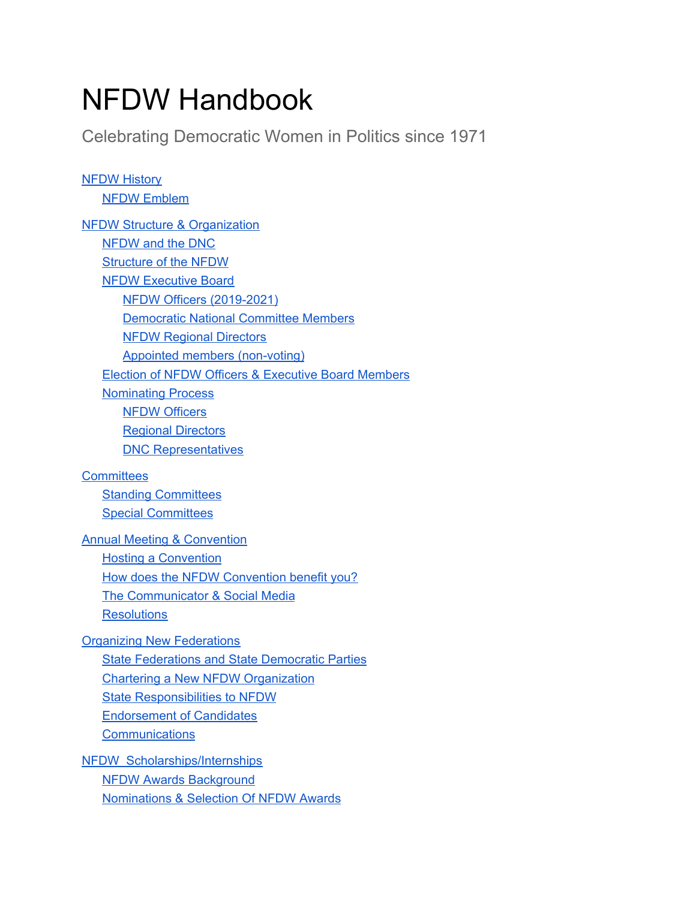# NFDW Handbook

Celebrating Democratic Women in Politics since 1971

**NFDW History** NFDW Emblem NFDW Structure & Organization NFDW and the DNC Structure of the NFDW NFDW Executive Board NFDW Officers (2019-2021) Democratic National Committee Members NFDW Regional Directors Appointed members (non-voting) Election of NFDW Officers & Executive Board Members Nominating Process NFDW Officers Regional Directors DNC Representatives **Committees** Standing Committees Special Committees Annual Meeting & Convention Hosting a Convention How does the NFDW Convention benefit you? The Communicator & Social Media **Resolutions** Organizing New Federations State Federations and State Democratic Parties Chartering a New NFDW Organization State Responsibilities to NFDW Endorsement of Candidates **Communications** NFDW Scholarships/Internships NFDW Awards Background

Nominations & Selection Of NFDW Awards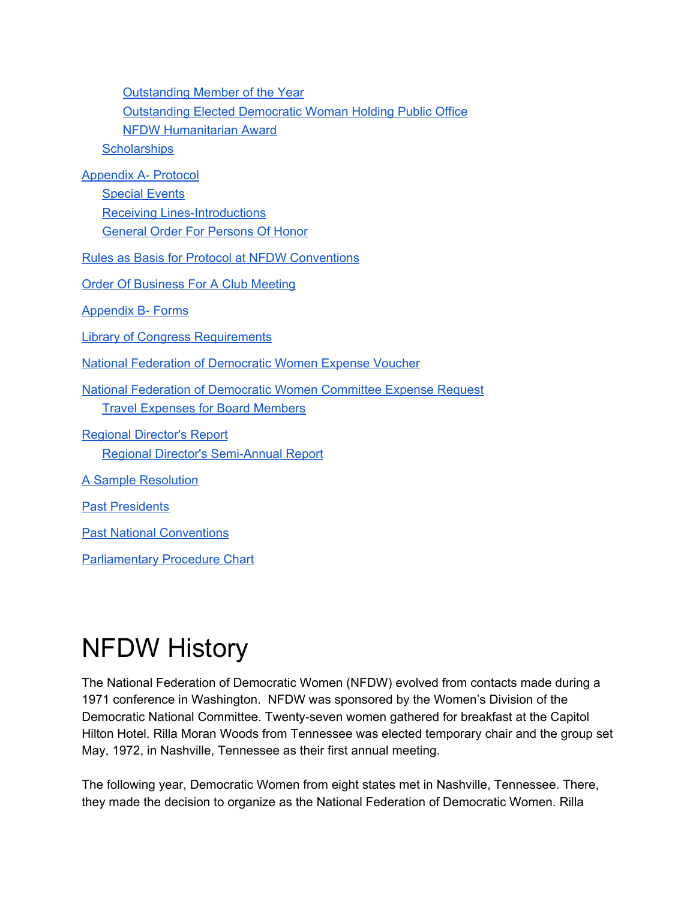| <b>Outstanding Member of the Year</b>                                    |
|--------------------------------------------------------------------------|
| <b>Outstanding Elected Democratic Woman Holding Public Office</b>        |
| <b>NFDW Humanitarian Award</b>                                           |
| <b>Scholarships</b>                                                      |
| <b>Appendix A- Protocol</b>                                              |
| <b>Special Events</b>                                                    |
| <b>Receiving Lines-Introductions</b>                                     |
| <b>General Order For Persons Of Honor</b>                                |
| <b>Rules as Basis for Protocol at NFDW Conventions</b>                   |
| <b>Order Of Business For A Club Meeting</b>                              |
| <b>Appendix B- Forms</b>                                                 |
| <b>Library of Congress Requirements</b>                                  |
| <b>National Federation of Democratic Women Expense Voucher</b>           |
| <b>National Federation of Democratic Women Committee Expense Request</b> |
| <b>Travel Expenses for Board Members</b>                                 |
| <b>Regional Director's Report</b>                                        |
| <b>Regional Director's Semi-Annual Report</b>                            |
| <b>A Sample Resolution</b>                                               |
| <b>Past Presidents</b>                                                   |
| <b>Past National Conventions</b>                                         |
| <b>Parliamentary Procedure Chart</b>                                     |

# NFDW History

The National Federation of Democratic Women (NFDW) evolved from contacts made during a 1971 conference in Washington. NFDW was sponsored by the Women's Division of the Democratic National Committee. Twenty-seven women gathered for breakfast at the Capitol Hilton Hotel. Rilla Moran Woods from Tennessee was elected temporary chair and the group set May, 1972, in Nashville, Tennessee as their first annual meeting.

The following year, Democratic Women from eight states met in Nashville, Tennessee. There, they made the decision to organize as the National Federation of Democratic Women. Rilla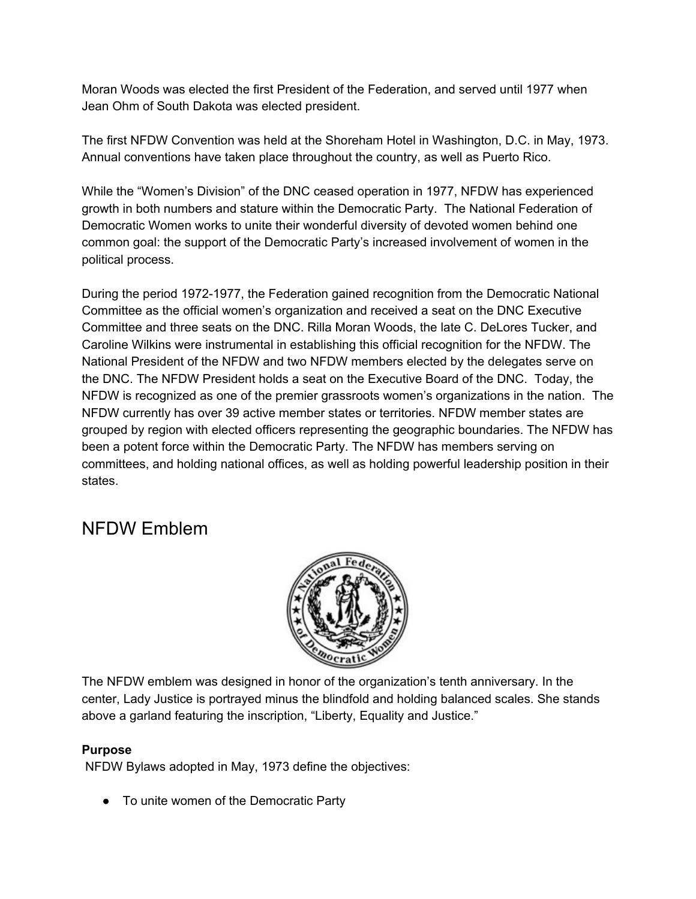Moran Woods was elected the first President of the Federation, and served until 1977 when Jean Ohm of South Dakota was elected president.

The first NFDW Convention was held at the Shoreham Hotel in Washington, D.C. in May, 1973. Annual conventions have taken place throughout the country, as well as Puerto Rico.

While the "Women's Division" of the DNC ceased operation in 1977, NFDW has experienced growth in both numbers and stature within the Democratic Party. The National Federation of Democratic Women works to unite their wonderful diversity of devoted women behind one common goal: the support of the Democratic Party's increased involvement of women in the political process.

During the period 1972-1977, the Federation gained recognition from the Democratic National Committee as the official women's organization and received a seat on the DNC Executive Committee and three seats on the DNC. Rilla Moran Woods, the late C. DeLores Tucker, and Caroline Wilkins were instrumental in establishing this official recognition for the NFDW. The National President of the NFDW and two NFDW members elected by the delegates serve on the DNC. The NFDW President holds a seat on the Executive Board of the DNC. Today, the NFDW is recognized as one of the premier grassroots women's organizations in the nation. The NFDW currently has over 39 active member states or territories. NFDW member states are grouped by region with elected officers representing the geographic boundaries. The NFDW has been a potent force within the Democratic Party. The NFDW has members serving on committees, and holding national offices, as well as holding powerful leadership position in their states.

#### NFDW Emblem



The NFDW emblem was designed in honor of the organization's tenth anniversary. In the center, Lady Justice is portrayed minus the blindfold and holding balanced scales. She stands above a garland featuring the inscription, "Liberty, Equality and Justice."

#### **Purpose**

NFDW Bylaws adopted in May, 1973 define the objectives:

● To unite women of the Democratic Party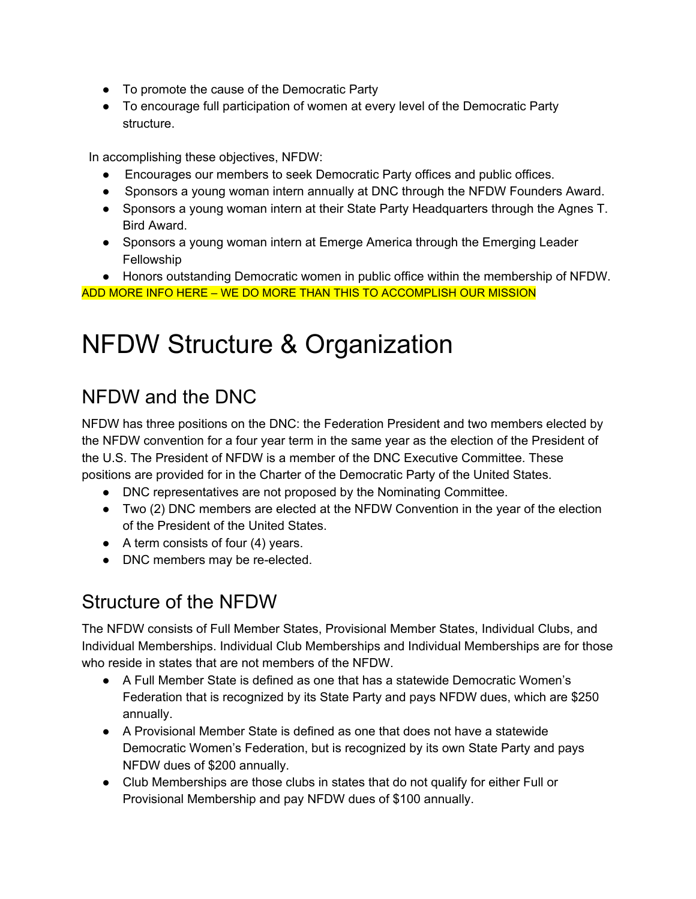- To promote the cause of the Democratic Party
- To encourage full participation of women at every level of the Democratic Party structure.

In accomplishing these objectives, NFDW:

- Encourages our members to seek Democratic Party offices and public offices.
- Sponsors a young woman intern annually at DNC through the NFDW Founders Award.
- Sponsors a young woman intern at their State Party Headquarters through the Agnes T. Bird Award.
- Sponsors a young woman intern at Emerge America through the Emerging Leader Fellowship
- Honors outstanding Democratic women in public office within the membership of NFDW. ADD MORE INFO HERE – WE DO MORE THAN THIS TO ACCOMPLISH OUR MISSION

# NFDW Structure & Organization

## NFDW and the DNC

NFDW has three positions on the DNC: the Federation President and two members elected by the NFDW convention for a four year term in the same year as the election of the President of the U.S. The President of NFDW is a member of the DNC Executive Committee. These positions are provided for in the Charter of the Democratic Party of the United States.

- DNC representatives are not proposed by the Nominating Committee.
- Two (2) DNC members are elected at the NFDW Convention in the year of the election of the President of the United States.
- $\bullet$  A term consists of four (4) years.
- DNC members may be re-elected.

## Structure of the NFDW

The NFDW consists of Full Member States, Provisional Member States, Individual Clubs, and Individual Memberships. Individual Club Memberships and Individual Memberships are for those who reside in states that are not members of the NFDW.

- A Full Member State is defined as one that has a statewide Democratic Women's Federation that is recognized by its State Party and pays NFDW dues, which are \$250 annually.
- A Provisional Member State is defined as one that does not have a statewide Democratic Women's Federation, but is recognized by its own State Party and pays NFDW dues of \$200 annually.
- Club Memberships are those clubs in states that do not qualify for either Full or Provisional Membership and pay NFDW dues of \$100 annually.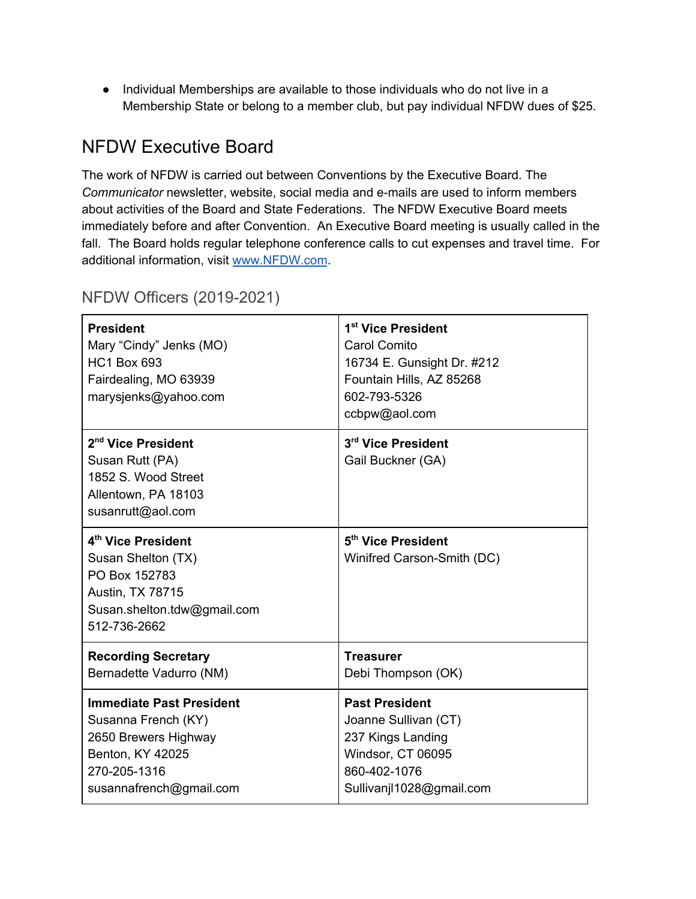● Individual Memberships are available to those individuals who do not live in a Membership State or belong to a member club, but pay individual NFDW dues of \$25.

#### NFDW Executive Board

The work of NFDW is carried out between Conventions by the Executive Board. The *Communicator* newsletter, website, social media and e-mails are used to inform members about activities of the Board and State Federations. The NFDW Executive Board meets immediately before and after Convention. An Executive Board meeting is usually called in the fall. The Board holds regular telephone conference calls to cut expenses and travel time. For additional information, visit www.NFDW.com.

| <b>President</b><br>Mary "Cindy" Jenks (MO)<br><b>HC1 Box 693</b><br>Fairdealing, MO 63939<br>marysjenks@yahoo.com           | 1 <sup>st</sup> Vice President<br>Carol Comito<br>16734 E. Gunsight Dr. #212<br>Fountain Hills, AZ 85268<br>602-793-5326<br>ccbpw@aol.com |  |  |
|------------------------------------------------------------------------------------------------------------------------------|-------------------------------------------------------------------------------------------------------------------------------------------|--|--|
| 2 <sup>nd</sup> Vice President<br>Susan Rutt (PA)<br>1852 S. Wood Street<br>Allentown, PA 18103<br>susanrutt@aol.com         | 3rd Vice President<br>Gail Buckner (GA)                                                                                                   |  |  |
| 4th Vice President<br>Susan Shelton (TX)<br>PO Box 152783<br>Austin, TX 78715<br>Susan.shelton.tdw@gmail.com<br>512-736-2662 | 5 <sup>th</sup> Vice President<br>Winifred Carson-Smith (DC)                                                                              |  |  |
| <b>Recording Secretary</b>                                                                                                   | <b>Treasurer</b>                                                                                                                          |  |  |
| Bernadette Vadurro (NM)                                                                                                      | Debi Thompson (OK)                                                                                                                        |  |  |
| <b>Immediate Past President</b><br>Susanna French (KY)                                                                       | <b>Past President</b><br>Joanne Sullivan (CT)                                                                                             |  |  |
| 2650 Brewers Highway<br><b>Benton, KY 42025</b>                                                                              | 237 Kings Landing<br>Windsor, CT 06095                                                                                                    |  |  |
| 270-205-1316                                                                                                                 | 860-402-1076                                                                                                                              |  |  |
| susannafrench@gmail.com                                                                                                      | Sullivanjl1028@gmail.com                                                                                                                  |  |  |

#### NFDW Officers (2019-2021)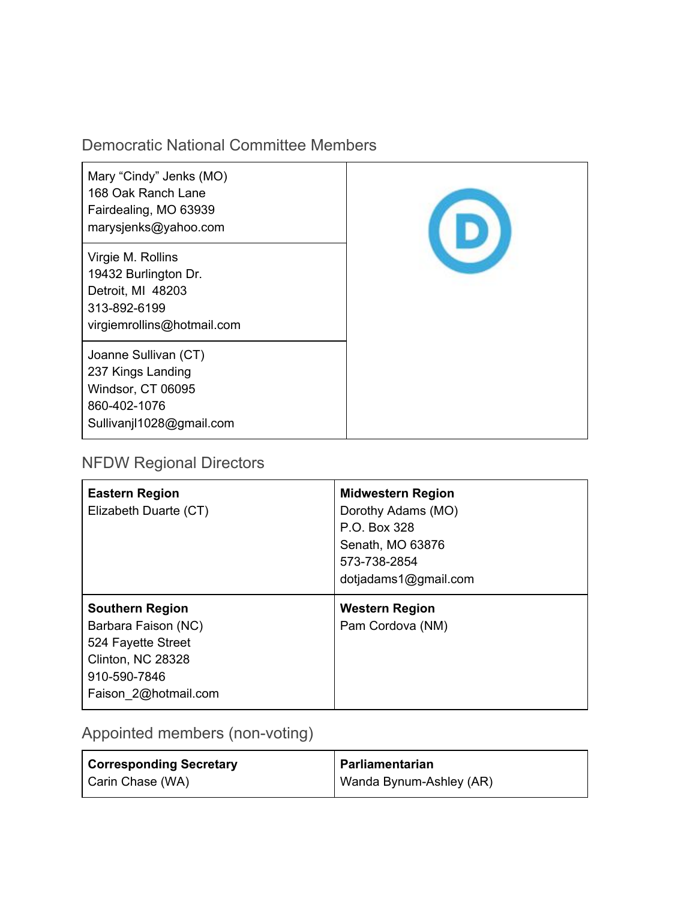#### Democratic National Committee Members

| Mary "Cindy" Jenks (MO)<br>168 Oak Ranch Lane<br>Fairdealing, MO 63939<br>marysjenks@yahoo.com               |  |
|--------------------------------------------------------------------------------------------------------------|--|
| Virgie M. Rollins<br>19432 Burlington Dr.<br>Detroit, MI 48203<br>313-892-6199<br>virgiemrollins@hotmail.com |  |
| Joanne Sullivan (CT)<br>237 Kings Landing<br>Windsor, CT 06095<br>860-402-1076<br>Sullivanjl1028@gmail.com   |  |

#### NFDW Regional Directors

| <b>Eastern Region</b><br>Elizabeth Duarte (CT)                                                                                   | <b>Midwestern Region</b><br>Dorothy Adams (MO)<br>P.O. Box 328<br>Senath, MO 63876<br>573-738-2854<br>dotjadams1@gmail.com |
|----------------------------------------------------------------------------------------------------------------------------------|----------------------------------------------------------------------------------------------------------------------------|
| <b>Southern Region</b><br>Barbara Faison (NC)<br>524 Fayette Street<br>Clinton, NC 28328<br>910-590-7846<br>Faison 2@hotmail.com | <b>Western Region</b><br>Pam Cordova (NM)                                                                                  |

Appointed members (non-voting)

| <b>Corresponding Secretary</b> | Parliamentarian         |
|--------------------------------|-------------------------|
| Carin Chase (WA)               | Wanda Bynum-Ashley (AR) |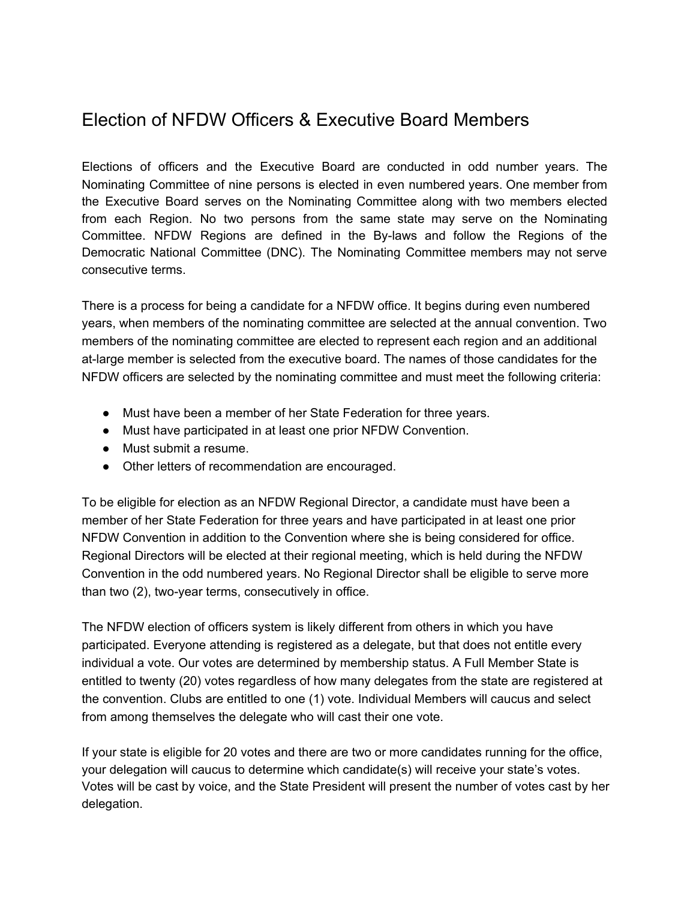#### Election of NFDW Officers & Executive Board Members

Elections of officers and the Executive Board are conducted in odd number years. The Nominating Committee of nine persons is elected in even numbered years. One member from the Executive Board serves on the Nominating Committee along with two members elected from each Region. No two persons from the same state may serve on the Nominating Committee. NFDW Regions are defined in the By-laws and follow the Regions of the Democratic National Committee (DNC). The Nominating Committee members may not serve consecutive terms.

There is a process for being a candidate for a NFDW office. It begins during even numbered years, when members of the nominating committee are selected at the annual convention. Two members of the nominating committee are elected to represent each region and an additional at-large member is selected from the executive board. The names of those candidates for the NFDW officers are selected by the nominating committee and must meet the following criteria:

- Must have been a member of her State Federation for three years.
- Must have participated in at least one prior NFDW Convention.
- Must submit a resume.
- Other letters of recommendation are encouraged.

To be eligible for election as an NFDW Regional Director, a candidate must have been a member of her State Federation for three years and have participated in at least one prior NFDW Convention in addition to the Convention where she is being considered for office. Regional Directors will be elected at their regional meeting, which is held during the NFDW Convention in the odd numbered years. No Regional Director shall be eligible to serve more than two (2), two-year terms, consecutively in office.

The NFDW election of officers system is likely different from others in which you have participated. Everyone attending is registered as a delegate, but that does not entitle every individual a vote. Our votes are determined by membership status. A Full Member State is entitled to twenty (20) votes regardless of how many delegates from the state are registered at the convention. Clubs are entitled to one (1) vote. Individual Members will caucus and select from among themselves the delegate who will cast their one vote.

If your state is eligible for 20 votes and there are two or more candidates running for the office, your delegation will caucus to determine which candidate(s) will receive your state's votes. Votes will be cast by voice, and the State President will present the number of votes cast by her delegation.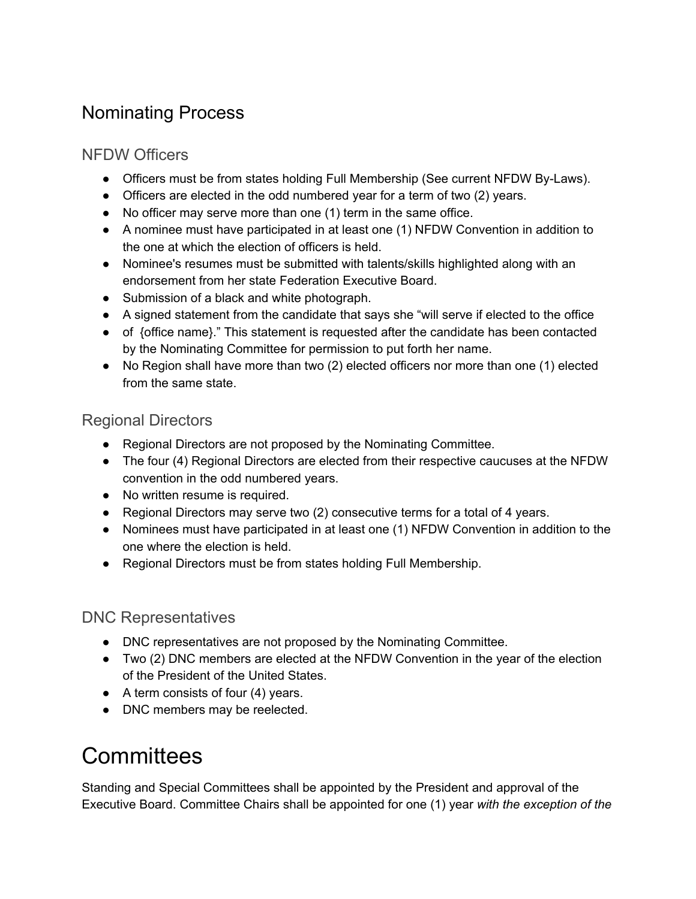## Nominating Process

#### NFDW Officers

- Officers must be from states holding Full Membership (See current NFDW By-Laws).
- Officers are elected in the odd numbered year for a term of two (2) years.
- No officer may serve more than one (1) term in the same office.
- A nominee must have participated in at least one (1) NFDW Convention in addition to the one at which the election of officers is held.
- Nominee's resumes must be submitted with talents/skills highlighted along with an endorsement from her state Federation Executive Board.
- Submission of a black and white photograph.
- A signed statement from the candidate that says she "will serve if elected to the office
- of {office name}." This statement is requested after the candidate has been contacted by the Nominating Committee for permission to put forth her name.
- No Region shall have more than two (2) elected officers nor more than one (1) elected from the same state.

#### Regional Directors

- Regional Directors are not proposed by the Nominating Committee.
- The four (4) Regional Directors are elected from their respective caucuses at the NFDW convention in the odd numbered years.
- No written resume is required.
- Regional Directors may serve two (2) consecutive terms for a total of 4 years.
- Nominees must have participated in at least one (1) NFDW Convention in addition to the one where the election is held.
- Regional Directors must be from states holding Full Membership.

#### DNC Representatives

- DNC representatives are not proposed by the Nominating Committee.
- Two (2) DNC members are elected at the NFDW Convention in the year of the election of the President of the United States.
- $\bullet$  A term consists of four (4) years.
- DNC members may be reelected.

# **Committees**

Standing and Special Committees shall be appointed by the President and approval of the Executive Board. Committee Chairs shall be appointed for one (1) year *with the exception of the*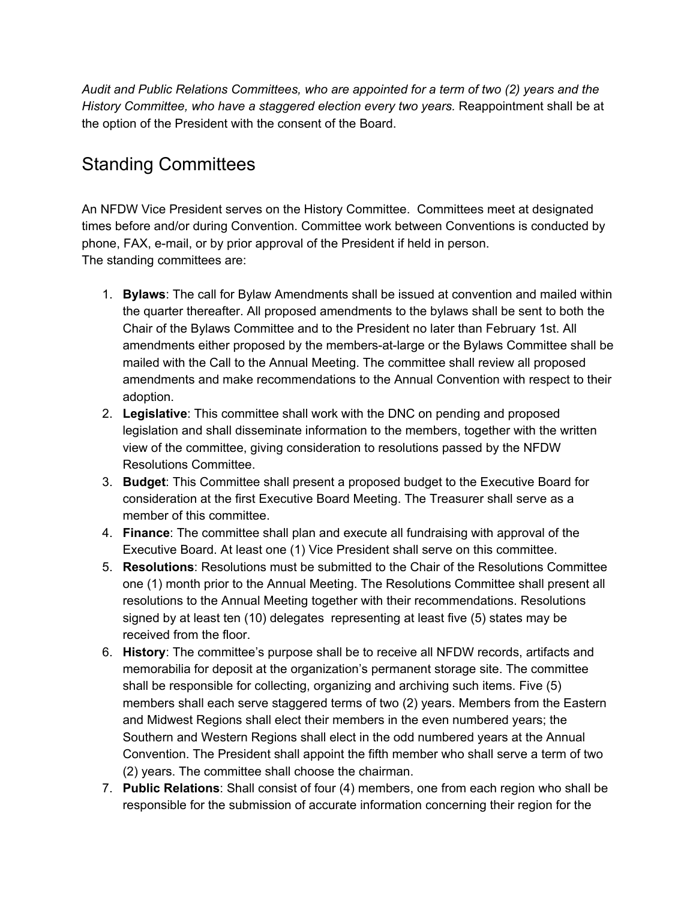*Audit and Public Relations Committees, who are appointed for a term of two (2) years and the History Committee, who have a staggered election every two years.* Reappointment shall be at the option of the President with the consent of the Board.

## Standing Committees

An NFDW Vice President serves on the History Committee. Committees meet at designated times before and/or during Convention. Committee work between Conventions is conducted by phone, FAX, e-mail, or by prior approval of the President if held in person. The standing committees are:

- 1. **Bylaws**: The call for Bylaw Amendments shall be issued at convention and mailed within the quarter thereafter. All proposed amendments to the bylaws shall be sent to both the Chair of the Bylaws Committee and to the President no later than February 1st. All amendments either proposed by the members-at-large or the Bylaws Committee shall be mailed with the Call to the Annual Meeting. The committee shall review all proposed amendments and make recommendations to the Annual Convention with respect to their adoption.
- 2. **Legislative**: This committee shall work with the DNC on pending and proposed legislation and shall disseminate information to the members, together with the written view of the committee, giving consideration to resolutions passed by the NFDW Resolutions Committee.
- 3. **Budget**: This Committee shall present a proposed budget to the Executive Board for consideration at the first Executive Board Meeting. The Treasurer shall serve as a member of this committee.
- 4. **Finance**: The committee shall plan and execute all fundraising with approval of the Executive Board. At least one (1) Vice President shall serve on this committee.
- 5. **Resolutions**: Resolutions must be submitted to the Chair of the Resolutions Committee one (1) month prior to the Annual Meeting. The Resolutions Committee shall present all resolutions to the Annual Meeting together with their recommendations. Resolutions signed by at least ten (10) delegates representing at least five (5) states may be received from the floor.
- 6. **History**: The committee's purpose shall be to receive all NFDW records, artifacts and memorabilia for deposit at the organization's permanent storage site. The committee shall be responsible for collecting, organizing and archiving such items. Five (5) members shall each serve staggered terms of two (2) years. Members from the Eastern and Midwest Regions shall elect their members in the even numbered years; the Southern and Western Regions shall elect in the odd numbered years at the Annual Convention. The President shall appoint the fifth member who shall serve a term of two (2) years. The committee shall choose the chairman.
- 7. **Public Relations**: Shall consist of four (4) members, one from each region who shall be responsible for the submission of accurate information concerning their region for the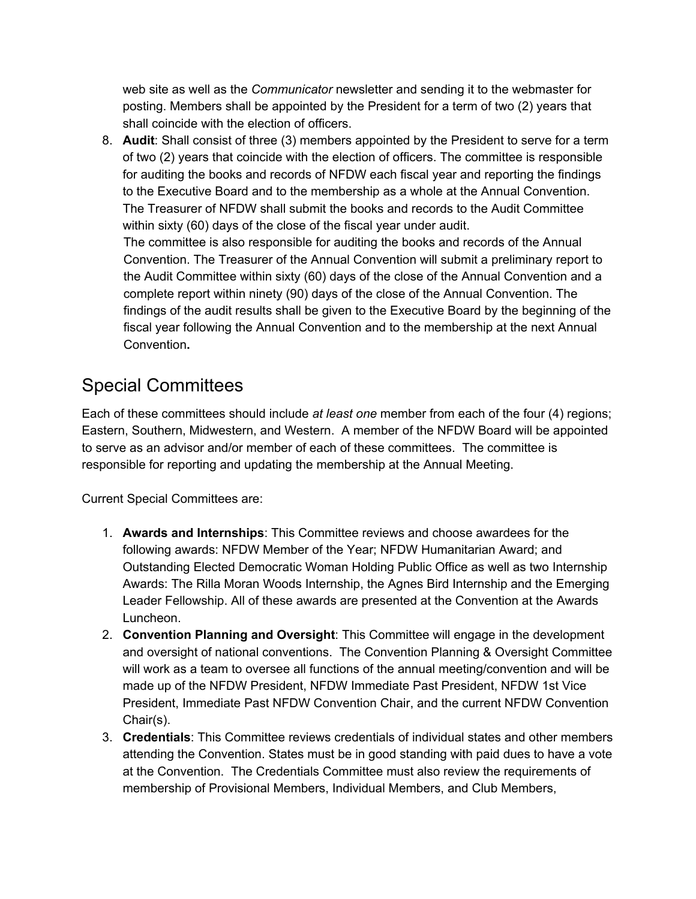web site as well as the *Communicator* newsletter and sending it to the webmaster for posting. Members shall be appointed by the President for a term of two (2) years that shall coincide with the election of officers.

8. **Audit**: Shall consist of three (3) members appointed by the President to serve for a term of two (2) years that coincide with the election of officers. The committee is responsible for auditing the books and records of NFDW each fiscal year and reporting the findings to the Executive Board and to the membership as a whole at the Annual Convention. The Treasurer of NFDW shall submit the books and records to the Audit Committee within sixty (60) days of the close of the fiscal year under audit. The committee is also responsible for auditing the books and records of the Annual Convention. The Treasurer of the Annual Convention will submit a preliminary report to the Audit Committee within sixty (60) days of the close of the Annual Convention and a complete report within ninety (90) days of the close of the Annual Convention. The findings of the audit results shall be given to the Executive Board by the beginning of the fiscal year following the Annual Convention and to the membership at the next Annual Convention**.**

## Special Committees

Each of these committees should include *at least one* member from each of the four (4) regions; Eastern, Southern, Midwestern, and Western. A member of the NFDW Board will be appointed to serve as an advisor and/or member of each of these committees. The committee is responsible for reporting and updating the membership at the Annual Meeting.

Current Special Committees are:

- 1. **Awards and Internships**: This Committee reviews and choose awardees for the following awards: NFDW Member of the Year; NFDW Humanitarian Award; and Outstanding Elected Democratic Woman Holding Public Office as well as two Internship Awards: The Rilla Moran Woods Internship, the Agnes Bird Internship and the Emerging Leader Fellowship. All of these awards are presented at the Convention at the Awards Luncheon.
- 2. **Convention Planning and Oversight**: This Committee will engage in the development and oversight of national conventions. The Convention Planning & Oversight Committee will work as a team to oversee all functions of the annual meeting/convention and will be made up of the NFDW President, NFDW Immediate Past President, NFDW 1st Vice President, Immediate Past NFDW Convention Chair, and the current NFDW Convention Chair(s).
- 3. **Credentials**: This Committee reviews credentials of individual states and other members attending the Convention. States must be in good standing with paid dues to have a vote at the Convention. The Credentials Committee must also review the requirements of membership of Provisional Members, Individual Members, and Club Members,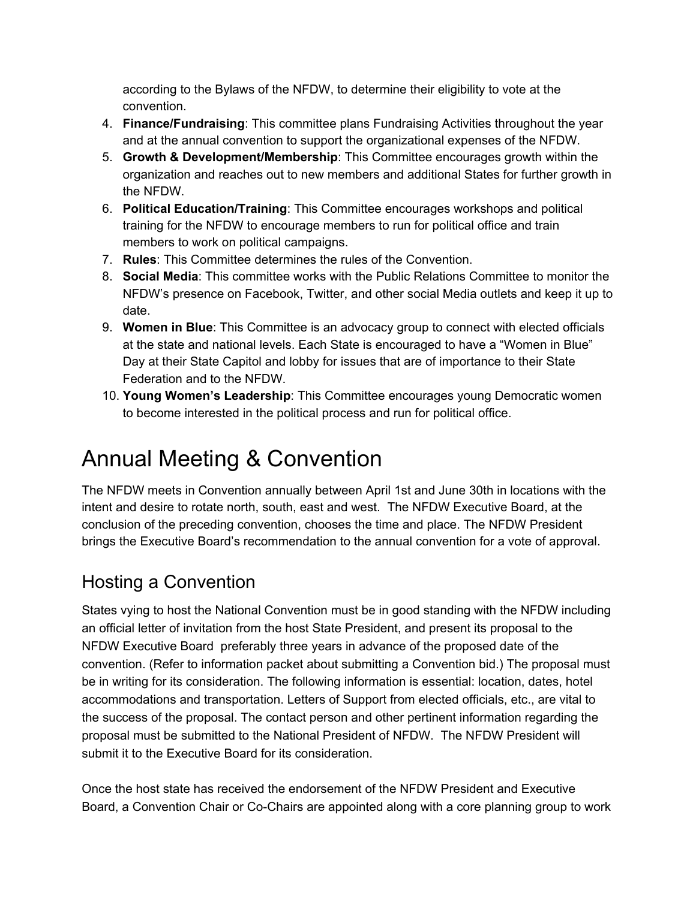according to the Bylaws of the NFDW, to determine their eligibility to vote at the convention.

- 4. **Finance/Fundraising**: This committee plans Fundraising Activities throughout the year and at the annual convention to support the organizational expenses of the NFDW.
- 5. **Growth & Development/Membership**: This Committee encourages growth within the organization and reaches out to new members and additional States for further growth in the NFDW.
- 6. **Political Education/Training**: This Committee encourages workshops and political training for the NFDW to encourage members to run for political office and train members to work on political campaigns.
- 7. **Rules**: This Committee determines the rules of the Convention.
- 8. **Social Media**: This committee works with the Public Relations Committee to monitor the NFDW's presence on Facebook, Twitter, and other social Media outlets and keep it up to date.
- 9. **Women in Blue**: This Committee is an advocacy group to connect with elected officials at the state and national levels. Each State is encouraged to have a "Women in Blue" Day at their State Capitol and lobby for issues that are of importance to their State Federation and to the NFDW.
- 10. **Young Women's Leadership**: This Committee encourages young Democratic women to become interested in the political process and run for political office.

# Annual Meeting & Convention

The NFDW meets in Convention annually between April 1st and June 30th in locations with the intent and desire to rotate north, south, east and west. The NFDW Executive Board, at the conclusion of the preceding convention, chooses the time and place. The NFDW President brings the Executive Board's recommendation to the annual convention for a vote of approval.

## Hosting a Convention

States vying to host the National Convention must be in good standing with the NFDW including an official letter of invitation from the host State President, and present its proposal to the NFDW Executive Board preferably three years in advance of the proposed date of the convention. (Refer to information packet about submitting a Convention bid.) The proposal must be in writing for its consideration. The following information is essential: location, dates, hotel accommodations and transportation. Letters of Support from elected officials, etc., are vital to the success of the proposal. The contact person and other pertinent information regarding the proposal must be submitted to the National President of NFDW. The NFDW President will submit it to the Executive Board for its consideration.

Once the host state has received the endorsement of the NFDW President and Executive Board, a Convention Chair or Co-Chairs are appointed along with a core planning group to work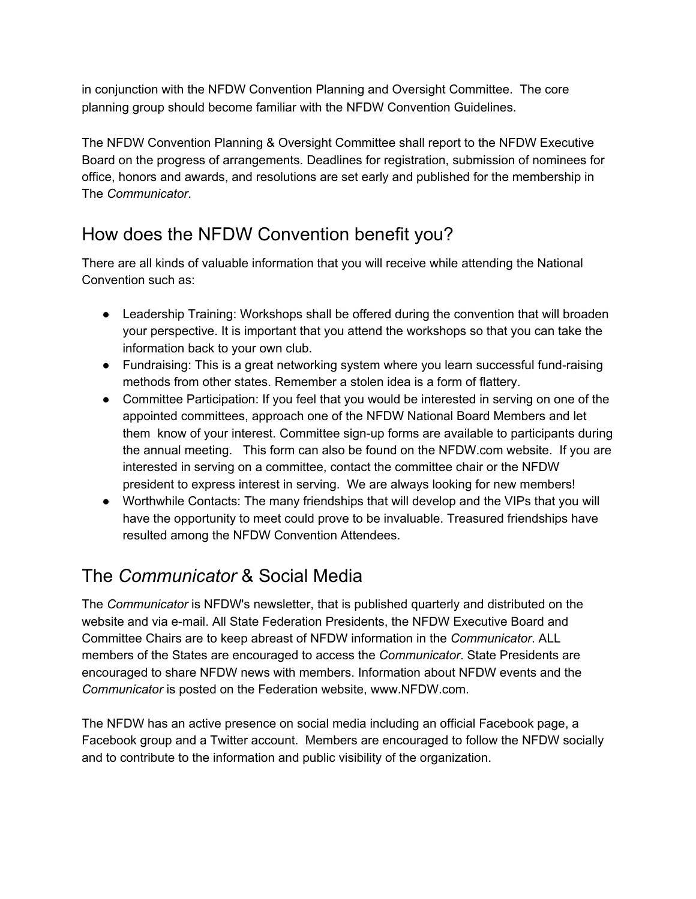in conjunction with the NFDW Convention Planning and Oversight Committee. The core planning group should become familiar with the NFDW Convention Guidelines.

The NFDW Convention Planning & Oversight Committee shall report to the NFDW Executive Board on the progress of arrangements. Deadlines for registration, submission of nominees for office, honors and awards, and resolutions are set early and published for the membership in The *Communicator*.

## How does the NFDW Convention benefit you?

There are all kinds of valuable information that you will receive while attending the National Convention such as:

- Leadership Training: Workshops shall be offered during the convention that will broaden your perspective. It is important that you attend the workshops so that you can take the information back to your own club.
- Fundraising: This is a great networking system where you learn successful fund-raising methods from other states. Remember a stolen idea is a form of flattery.
- Committee Participation: If you feel that you would be interested in serving on one of the appointed committees, approach one of the NFDW National Board Members and let them know of your interest. Committee sign-up forms are available to participants during the annual meeting. This form can also be found on the NFDW.com website. If you are interested in serving on a committee, contact the committee chair or the NFDW president to express interest in serving. We are always looking for new members!
- Worthwhile Contacts: The many friendships that will develop and the VIPs that you will have the opportunity to meet could prove to be invaluable. Treasured friendships have resulted among the NFDW Convention Attendees.

## The *Communicator* & Social Media

The *Communicator* is NFDW's newsletter, that is published quarterly and distributed on the website and via e-mail. All State Federation Presidents, the NFDW Executive Board and Committee Chairs are to keep abreast of NFDW information in the *Communicator*. ALL members of the States are encouraged to access the *Communicator*. State Presidents are encouraged to share NFDW news with members. Information about NFDW events and the *Communicator* is posted on the Federation website, www.NFDW.com.

The NFDW has an active presence on social media including an official Facebook page, a Facebook group and a Twitter account. Members are encouraged to follow the NFDW socially and to contribute to the information and public visibility of the organization.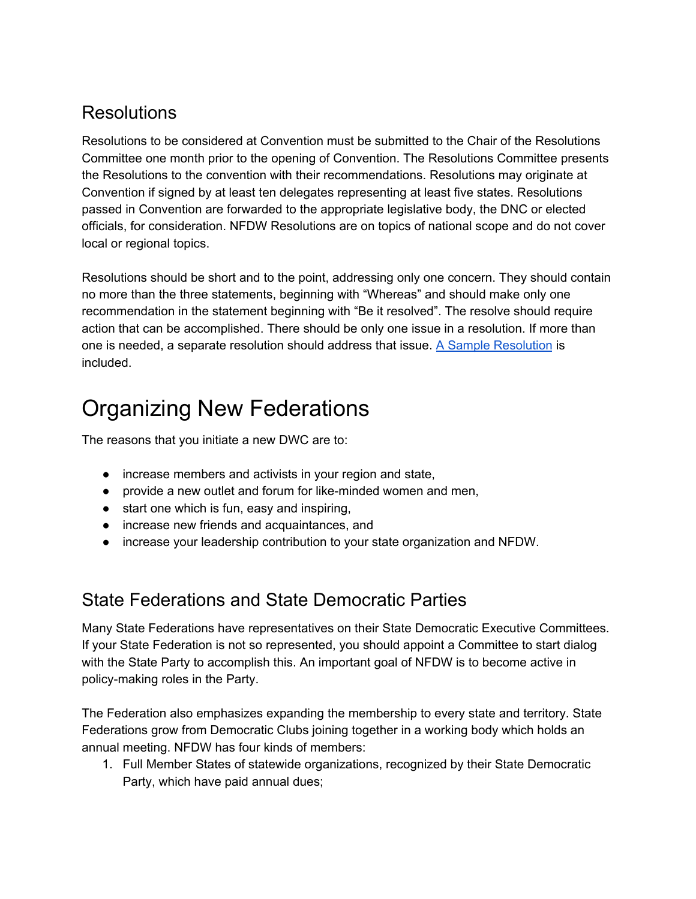## **Resolutions**

Resolutions to be considered at Convention must be submitted to the Chair of the Resolutions Committee one month prior to the opening of Convention. The Resolutions Committee presents the Resolutions to the convention with their recommendations. Resolutions may originate at Convention if signed by at least ten delegates representing at least five states. Resolutions passed in Convention are forwarded to the appropriate legislative body, the DNC or elected officials, for consideration. NFDW Resolutions are on topics of national scope and do not cover local or regional topics.

Resolutions should be short and to the point, addressing only one concern. They should contain no more than the three statements, beginning with "Whereas" and should make only one recommendation in the statement beginning with "Be it resolved". The resolve should require action that can be accomplished. There should be only one issue in a resolution. If more than one is needed, a separate resolution should address that issue. A Sample Resolution is included.

# Organizing New Federations

The reasons that you initiate a new DWC are to:

- increase members and activists in your region and state,
- provide a new outlet and forum for like-minded women and men,
- start one which is fun, easy and inspiring,
- increase new friends and acquaintances, and
- increase your leadership contribution to your state organization and NFDW.

#### State Federations and State Democratic Parties

Many State Federations have representatives on their State Democratic Executive Committees. If your State Federation is not so represented, you should appoint a Committee to start dialog with the State Party to accomplish this. An important goal of NFDW is to become active in policy-making roles in the Party.

The Federation also emphasizes expanding the membership to every state and territory. State Federations grow from Democratic Clubs joining together in a working body which holds an annual meeting. NFDW has four kinds of members:

1. Full Member States of statewide organizations, recognized by their State Democratic Party, which have paid annual dues;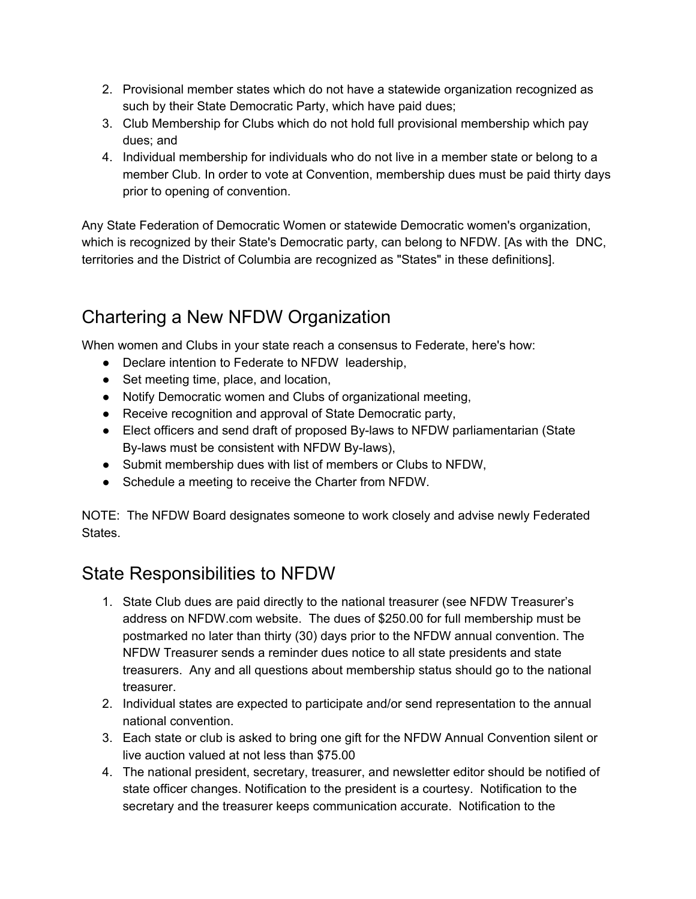- 2. Provisional member states which do not have a statewide organization recognized as such by their State Democratic Party, which have paid dues;
- 3. Club Membership for Clubs which do not hold full provisional membership which pay dues; and
- 4. Individual membership for individuals who do not live in a member state or belong to a member Club. In order to vote at Convention, membership dues must be paid thirty days prior to opening of convention.

Any State Federation of Democratic Women or statewide Democratic women's organization, which is recognized by their State's Democratic party, can belong to NFDW. [As with the DNC, territories and the District of Columbia are recognized as "States" in these definitions].

## Chartering a New NFDW Organization

When women and Clubs in your state reach a consensus to Federate, here's how:

- Declare intention to Federate to NFDW leadership,
- Set meeting time, place, and location,
- Notify Democratic women and Clubs of organizational meeting,
- Receive recognition and approval of State Democratic party,
- Elect officers and send draft of proposed By-laws to NFDW parliamentarian (State By-laws must be consistent with NFDW By-laws),
- Submit membership dues with list of members or Clubs to NFDW,
- Schedule a meeting to receive the Charter from NFDW.

NOTE: The NFDW Board designates someone to work closely and advise newly Federated States.

## State Responsibilities to NFDW

- 1. State Club dues are paid directly to the national treasurer (see NFDW Treasurer's address on NFDW.com website. The dues of \$250.00 for full membership must be postmarked no later than thirty (30) days prior to the NFDW annual convention. The NFDW Treasurer sends a reminder dues notice to all state presidents and state treasurers. Any and all questions about membership status should go to the national treasurer.
- 2. Individual states are expected to participate and/or send representation to the annual national convention.
- 3. Each state or club is asked to bring one gift for the NFDW Annual Convention silent or live auction valued at not less than \$75.00
- 4. The national president, secretary, treasurer, and newsletter editor should be notified of state officer changes. Notification to the president is a courtesy. Notification to the secretary and the treasurer keeps communication accurate. Notification to the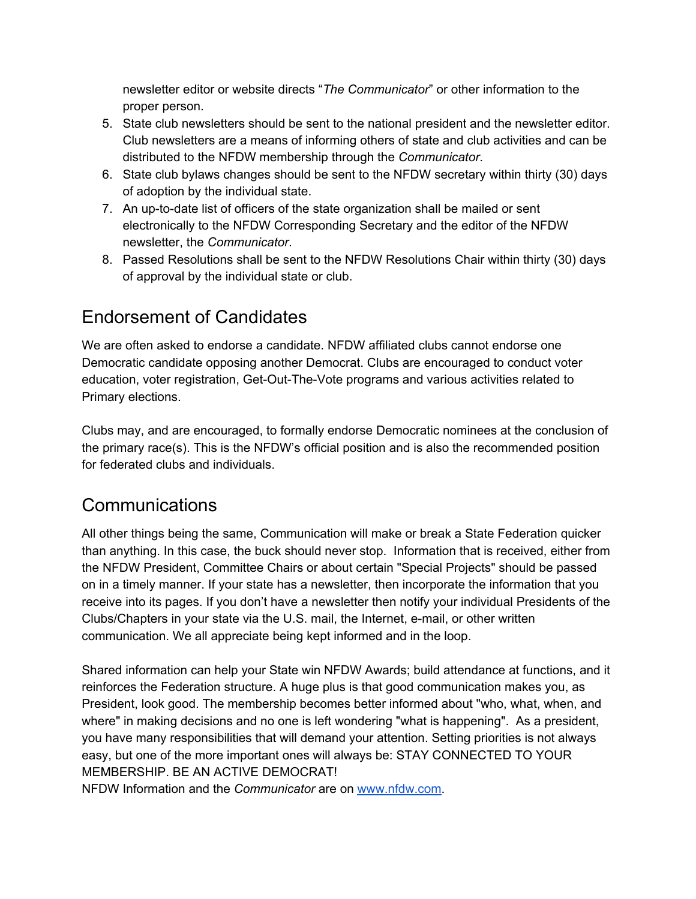newsletter editor or website directs "*The Communicator*" or other information to the proper person.

- 5. State club newsletters should be sent to the national president and the newsletter editor. Club newsletters are a means of informing others of state and club activities and can be distributed to the NFDW membership through the *Communicator*.
- 6. State club bylaws changes should be sent to the NFDW secretary within thirty (30) days of adoption by the individual state.
- 7. An up-to-date list of officers of the state organization shall be mailed or sent electronically to the NFDW Corresponding Secretary and the editor of the NFDW newsletter, the *Communicator*.
- 8. Passed Resolutions shall be sent to the NFDW Resolutions Chair within thirty (30) days of approval by the individual state or club.

#### Endorsement of Candidates

We are often asked to endorse a candidate. NFDW affiliated clubs cannot endorse one Democratic candidate opposing another Democrat. Clubs are encouraged to conduct voter education, voter registration, Get-Out-The-Vote programs and various activities related to Primary elections.

Clubs may, and are encouraged, to formally endorse Democratic nominees at the conclusion of the primary race(s). This is the NFDW's official position and is also the recommended position for federated clubs and individuals.

#### Communications

All other things being the same, Communication will make or break a State Federation quicker than anything. In this case, the buck should never stop. Information that is received, either from the NFDW President, Committee Chairs or about certain "Special Projects" should be passed on in a timely manner. If your state has a newsletter, then incorporate the information that you receive into its pages. If you don't have a newsletter then notify your individual Presidents of the Clubs/Chapters in your state via the U.S. mail, the Internet, e-mail, or other written communication. We all appreciate being kept informed and in the loop.

Shared information can help your State win NFDW Awards; build attendance at functions, and it reinforces the Federation structure. A huge plus is that good communication makes you, as President, look good. The membership becomes better informed about "who, what, when, and where" in making decisions and no one is left wondering "what is happening". As a president, you have many responsibilities that will demand your attention. Setting priorities is not always easy, but one of the more important ones will always be: STAY CONNECTED TO YOUR MEMBERSHIP. BE AN ACTIVE DEMOCRAT!

NFDW Information and the *Communicator* are on www.nfdw.com.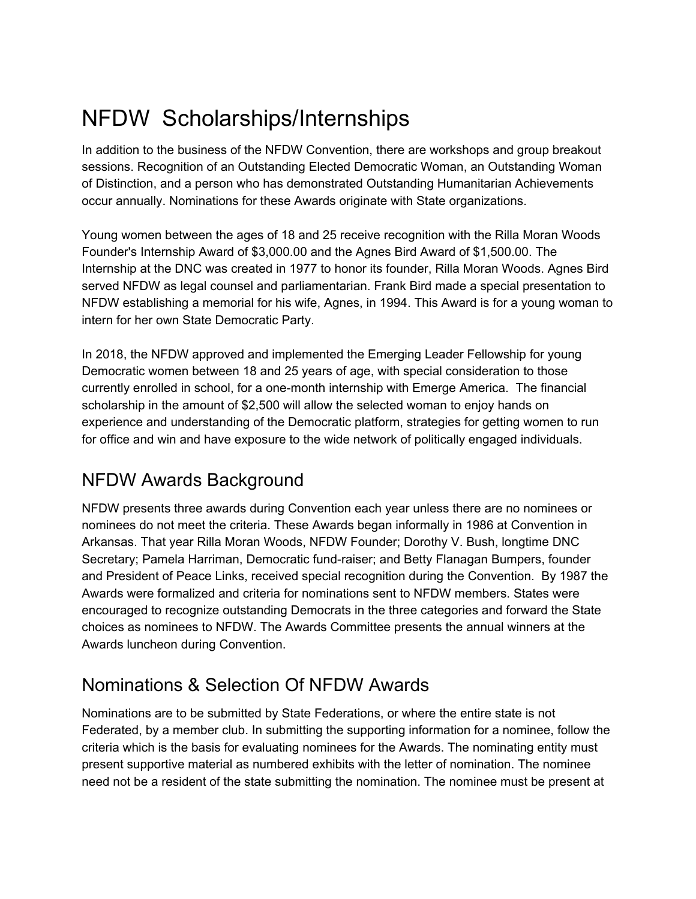# NFDW Scholarships/Internships

In addition to the business of the NFDW Convention, there are workshops and group breakout sessions. Recognition of an Outstanding Elected Democratic Woman, an Outstanding Woman of Distinction, and a person who has demonstrated Outstanding Humanitarian Achievements occur annually. Nominations for these Awards originate with State organizations.

Young women between the ages of 18 and 25 receive recognition with the Rilla Moran Woods Founder's Internship Award of \$3,000.00 and the Agnes Bird Award of \$1,500.00. The Internship at the DNC was created in 1977 to honor its founder, Rilla Moran Woods. Agnes Bird served NFDW as legal counsel and parliamentarian. Frank Bird made a special presentation to NFDW establishing a memorial for his wife, Agnes, in 1994. This Award is for a young woman to intern for her own State Democratic Party.

In 2018, the NFDW approved and implemented the Emerging Leader Fellowship for young Democratic women between 18 and 25 years of age, with special consideration to those currently enrolled in school, for a one-month internship with Emerge America. The financial scholarship in the amount of \$2,500 will allow the selected woman to enjoy hands on experience and understanding of the Democratic platform, strategies for getting women to run for office and win and have exposure to the wide network of politically engaged individuals.

#### NFDW Awards Background

NFDW presents three awards during Convention each year unless there are no nominees or nominees do not meet the criteria. These Awards began informally in 1986 at Convention in Arkansas. That year Rilla Moran Woods, NFDW Founder; Dorothy V. Bush, longtime DNC Secretary; Pamela Harriman, Democratic fund-raiser; and Betty Flanagan Bumpers, founder and President of Peace Links, received special recognition during the Convention. By 1987 the Awards were formalized and criteria for nominations sent to NFDW members. States were encouraged to recognize outstanding Democrats in the three categories and forward the State choices as nominees to NFDW. The Awards Committee presents the annual winners at the Awards luncheon during Convention.

## Nominations & Selection Of NFDW Awards

Nominations are to be submitted by State Federations, or where the entire state is not Federated, by a member club. In submitting the supporting information for a nominee, follow the criteria which is the basis for evaluating nominees for the Awards. The nominating entity must present supportive material as numbered exhibits with the letter of nomination. The nominee need not be a resident of the state submitting the nomination. The nominee must be present at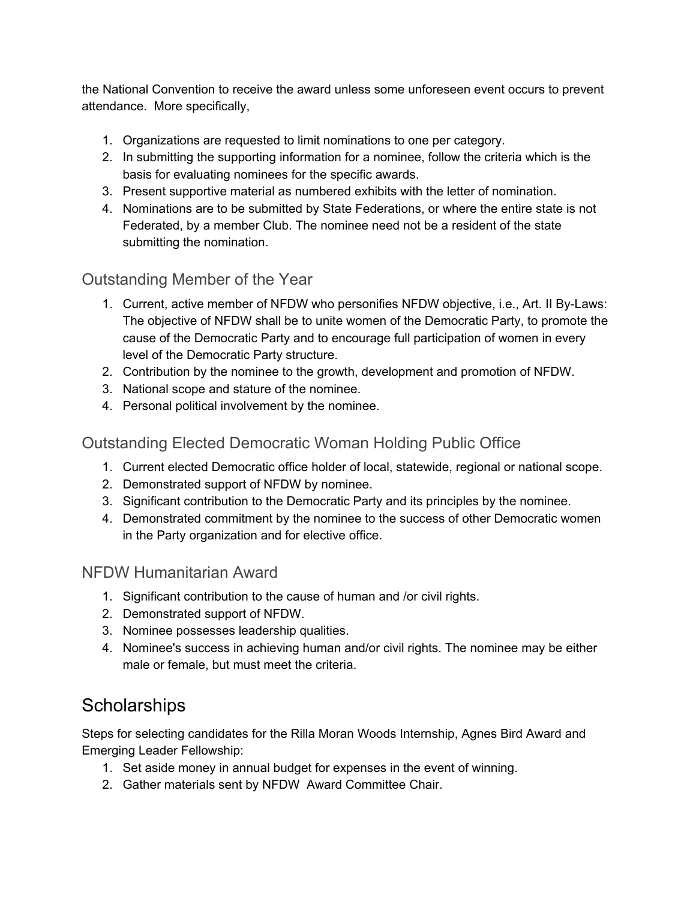the National Convention to receive the award unless some unforeseen event occurs to prevent attendance. More specifically,

- 1. Organizations are requested to limit nominations to one per category.
- 2. In submitting the supporting information for a nominee, follow the criteria which is the basis for evaluating nominees for the specific awards.
- 3. Present supportive material as numbered exhibits with the letter of nomination.
- 4. Nominations are to be submitted by State Federations, or where the entire state is not Federated, by a member Club. The nominee need not be a resident of the state submitting the nomination.

#### Outstanding Member of the Year

- 1. Current, active member of NFDW who personifies NFDW objective, i.e., Art. II By-Laws: The objective of NFDW shall be to unite women of the Democratic Party, to promote the cause of the Democratic Party and to encourage full participation of women in every level of the Democratic Party structure.
- 2. Contribution by the nominee to the growth, development and promotion of NFDW.
- 3. National scope and stature of the nominee.
- 4. Personal political involvement by the nominee.

#### Outstanding Elected Democratic Woman Holding Public Office

- 1. Current elected Democratic office holder of local, statewide, regional or national scope.
- 2. Demonstrated support of NFDW by nominee.
- 3. Significant contribution to the Democratic Party and its principles by the nominee.
- 4. Demonstrated commitment by the nominee to the success of other Democratic women in the Party organization and for elective office.

#### NFDW Humanitarian Award

- 1. Significant contribution to the cause of human and /or civil rights.
- 2. Demonstrated support of NFDW.
- 3. Nominee possesses leadership qualities.
- 4. Nominee's success in achieving human and/or civil rights. The nominee may be either male or female, but must meet the criteria.

#### **Scholarships**

Steps for selecting candidates for the Rilla Moran Woods Internship, Agnes Bird Award and Emerging Leader Fellowship:

- 1. Set aside money in annual budget for expenses in the event of winning.
- 2. Gather materials sent by NFDW Award Committee Chair.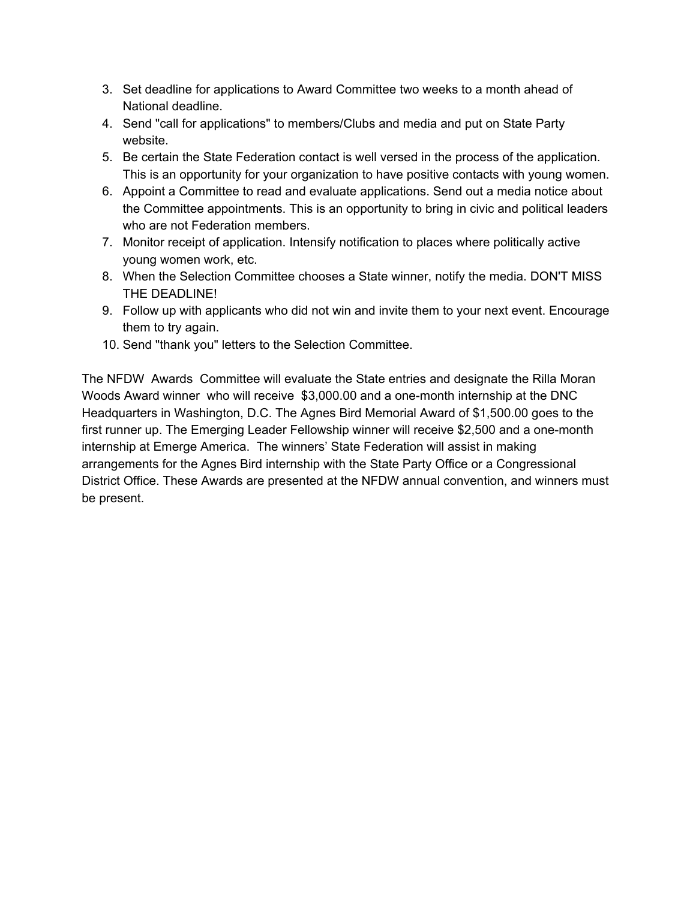- 3. Set deadline for applications to Award Committee two weeks to a month ahead of National deadline.
- 4. Send "call for applications" to members/Clubs and media and put on State Party website.
- 5. Be certain the State Federation contact is well versed in the process of the application. This is an opportunity for your organization to have positive contacts with young women.
- 6. Appoint a Committee to read and evaluate applications. Send out a media notice about the Committee appointments. This is an opportunity to bring in civic and political leaders who are not Federation members.
- 7. Monitor receipt of application. Intensify notification to places where politically active young women work, etc.
- 8. When the Selection Committee chooses a State winner, notify the media. DON'T MISS THE DEADLINE!
- 9. Follow up with applicants who did not win and invite them to your next event. Encourage them to try again.
- 10. Send "thank you" letters to the Selection Committee.

The NFDW Awards Committee will evaluate the State entries and designate the Rilla Moran Woods Award winner who will receive \$3,000.00 and a one-month internship at the DNC Headquarters in Washington, D.C. The Agnes Bird Memorial Award of \$1,500.00 goes to the first runner up. The Emerging Leader Fellowship winner will receive \$2,500 and a one-month internship at Emerge America. The winners' State Federation will assist in making arrangements for the Agnes Bird internship with the State Party Office or a Congressional District Office. These Awards are presented at the NFDW annual convention, and winners must be present.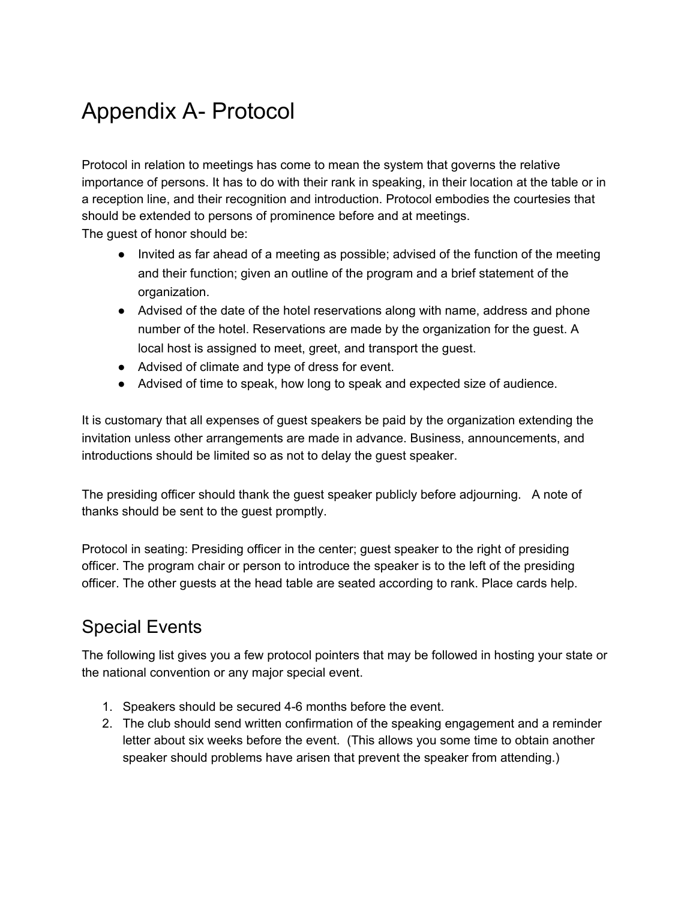# Appendix A- Protocol

Protocol in relation to meetings has come to mean the system that governs the relative importance of persons. It has to do with their rank in speaking, in their location at the table or in a reception line, and their recognition and introduction. Protocol embodies the courtesies that should be extended to persons of prominence before and at meetings.

The guest of honor should be:

- Invited as far ahead of a meeting as possible; advised of the function of the meeting and their function; given an outline of the program and a brief statement of the organization.
- Advised of the date of the hotel reservations along with name, address and phone number of the hotel. Reservations are made by the organization for the guest. A local host is assigned to meet, greet, and transport the guest.
- Advised of climate and type of dress for event.
- Advised of time to speak, how long to speak and expected size of audience.

It is customary that all expenses of guest speakers be paid by the organization extending the invitation unless other arrangements are made in advance. Business, announcements, and introductions should be limited so as not to delay the guest speaker.

The presiding officer should thank the guest speaker publicly before adjourning. A note of thanks should be sent to the guest promptly.

Protocol in seating: Presiding officer in the center; guest speaker to the right of presiding officer. The program chair or person to introduce the speaker is to the left of the presiding officer. The other guests at the head table are seated according to rank. Place cards help.

## Special Events

The following list gives you a few protocol pointers that may be followed in hosting your state or the national convention or any major special event.

- 1. Speakers should be secured 4-6 months before the event.
- 2. The club should send written confirmation of the speaking engagement and a reminder letter about six weeks before the event. (This allows you some time to obtain another speaker should problems have arisen that prevent the speaker from attending.)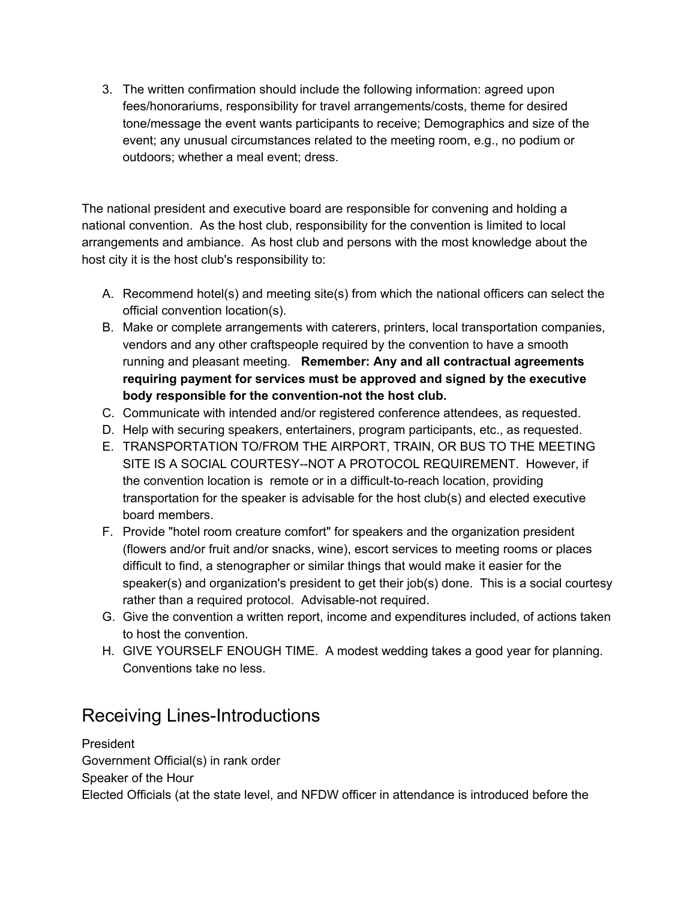3. The written confirmation should include the following information: agreed upon fees/honorariums, responsibility for travel arrangements/costs, theme for desired tone/message the event wants participants to receive; Demographics and size of the event; any unusual circumstances related to the meeting room, e.g., no podium or outdoors; whether a meal event; dress.

The national president and executive board are responsible for convening and holding a national convention. As the host club, responsibility for the convention is limited to local arrangements and ambiance. As host club and persons with the most knowledge about the host city it is the host club's responsibility to:

- A. Recommend hotel(s) and meeting site(s) from which the national officers can select the official convention location(s).
- B. Make or complete arrangements with caterers, printers, local transportation companies, vendors and any other craftspeople required by the convention to have a smooth running and pleasant meeting. **Remember: Any and all contractual agreements requiring payment for services must be approved and signed by the executive body responsible for the convention-not the host club.**
- C. Communicate with intended and/or registered conference attendees, as requested.
- D. Help with securing speakers, entertainers, program participants, etc., as requested.
- E. TRANSPORTATION TO/FROM THE AIRPORT, TRAIN, OR BUS TO THE MEETING SITE IS A SOCIAL COURTESY--NOT A PROTOCOL REQUIREMENT. However, if the convention location is remote or in a difficult-to-reach location, providing transportation for the speaker is advisable for the host club(s) and elected executive board members.
- F. Provide "hotel room creature comfort" for speakers and the organization president (flowers and/or fruit and/or snacks, wine), escort services to meeting rooms or places difficult to find, a stenographer or similar things that would make it easier for the speaker(s) and organization's president to get their job(s) done. This is a social courtesy rather than a required protocol. Advisable-not required.
- G. Give the convention a written report, income and expenditures included, of actions taken to host the convention.
- H. GIVE YOURSELF ENOUGH TIME. A modest wedding takes a good year for planning. Conventions take no less.

#### Receiving Lines-Introductions

President Government Official(s) in rank order Speaker of the Hour Elected Officials (at the state level, and NFDW officer in attendance is introduced before the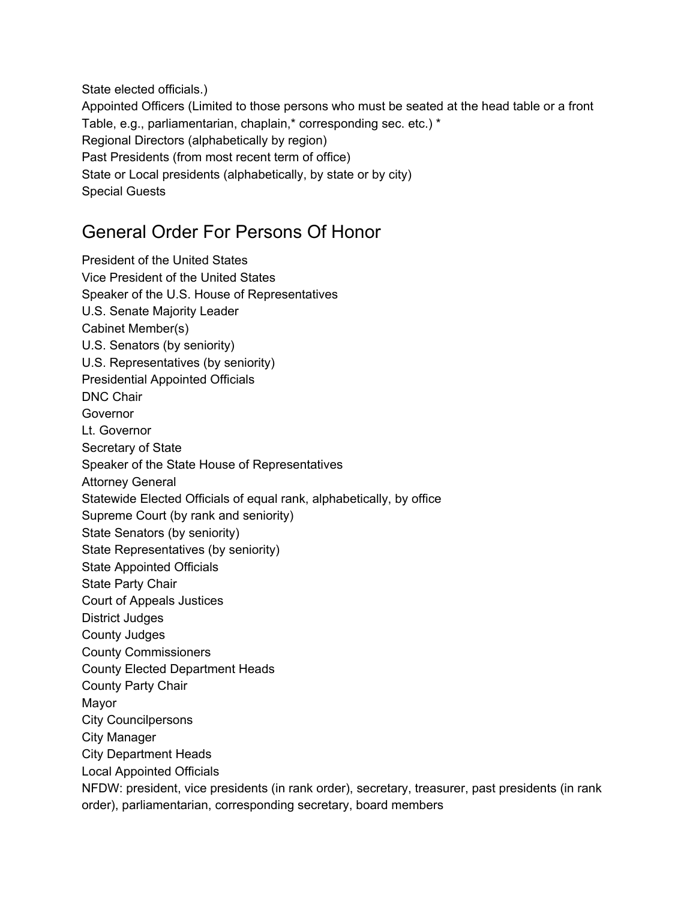State elected officials.)

Appointed Officers (Limited to those persons who must be seated at the head table or a front Table, e.g., parliamentarian, chaplain,\* corresponding sec. etc.) \* Regional Directors (alphabetically by region) Past Presidents (from most recent term of office) State or Local presidents (alphabetically, by state or by city) Special Guests

#### General Order For Persons Of Honor

President of the United States Vice President of the United States Speaker of the U.S. House of Representatives U.S. Senate Majority Leader Cabinet Member(s) U.S. Senators (by seniority) U.S. Representatives (by seniority) Presidential Appointed Officials DNC Chair Governor Lt. Governor Secretary of State Speaker of the State House of Representatives Attorney General Statewide Elected Officials of equal rank, alphabetically, by office Supreme Court (by rank and seniority) State Senators (by seniority) State Representatives (by seniority) State Appointed Officials State Party Chair Court of Appeals Justices District Judges County Judges County Commissioners County Elected Department Heads County Party Chair Mayor City Councilpersons City Manager City Department Heads Local Appointed Officials NFDW: president, vice presidents (in rank order), secretary, treasurer, past presidents (in rank order), parliamentarian, corresponding secretary, board members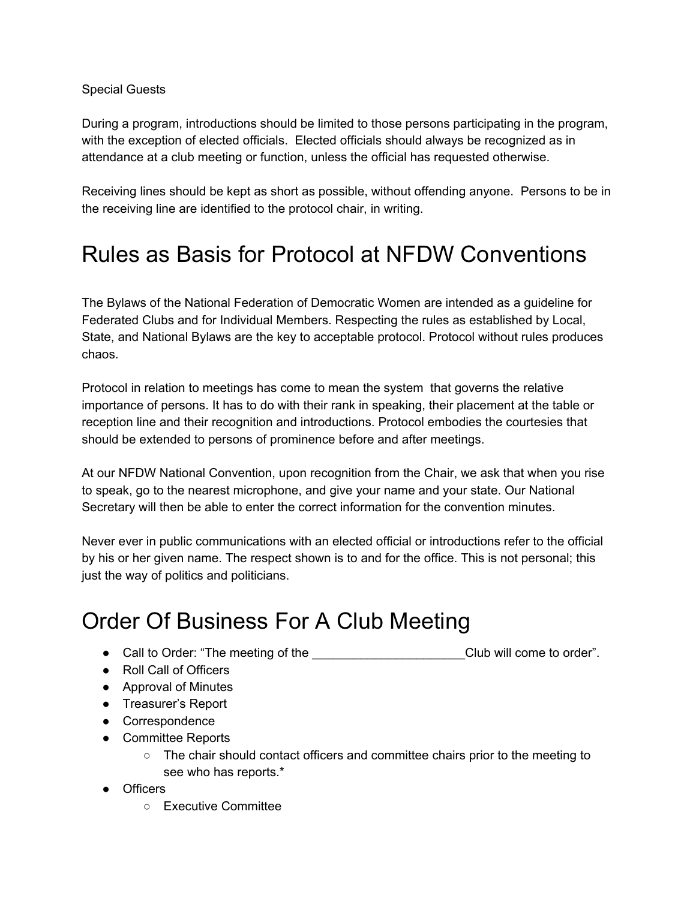Special Guests

During a program, introductions should be limited to those persons participating in the program, with the exception of elected officials. Elected officials should always be recognized as in attendance at a club meeting or function, unless the official has requested otherwise.

Receiving lines should be kept as short as possible, without offending anyone. Persons to be in the receiving line are identified to the protocol chair, in writing.

## Rules as Basis for Protocol at NFDW Conventions

The Bylaws of the National Federation of Democratic Women are intended as a guideline for Federated Clubs and for Individual Members. Respecting the rules as established by Local, State, and National Bylaws are the key to acceptable protocol. Protocol without rules produces chaos.

Protocol in relation to meetings has come to mean the system that governs the relative importance of persons. It has to do with their rank in speaking, their placement at the table or reception line and their recognition and introductions. Protocol embodies the courtesies that should be extended to persons of prominence before and after meetings.

At our NFDW National Convention, upon recognition from the Chair, we ask that when you rise to speak, go to the nearest microphone, and give your name and your state. Our National Secretary will then be able to enter the correct information for the convention minutes.

Never ever in public communications with an elected official or introductions refer to the official by his or her given name. The respect shown is to and for the office. This is not personal; this just the way of politics and politicians.

# Order Of Business For A Club Meeting

● Call to Order: "The meeting of the \_\_\_\_\_\_\_\_\_\_\_\_\_\_\_\_\_\_\_\_\_\_Club will come to order".

- Roll Call of Officers
- Approval of Minutes
- Treasurer's Report
- Correspondence
- Committee Reports
	- The chair should contact officers and committee chairs prior to the meeting to see who has reports.\*
- Officers
	- Executive Committee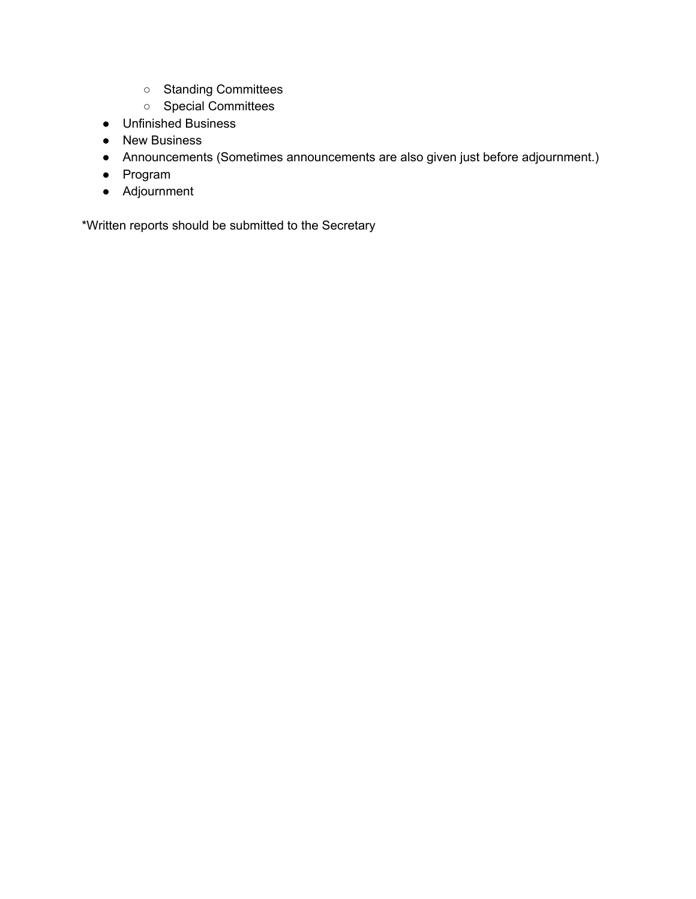- Standing Committees
- Special Committees
- Unfinished Business
- New Business
- Announcements (Sometimes announcements are also given just before adjournment.)
- Program
- Adjournment

\*Written reports should be submitted to the Secretary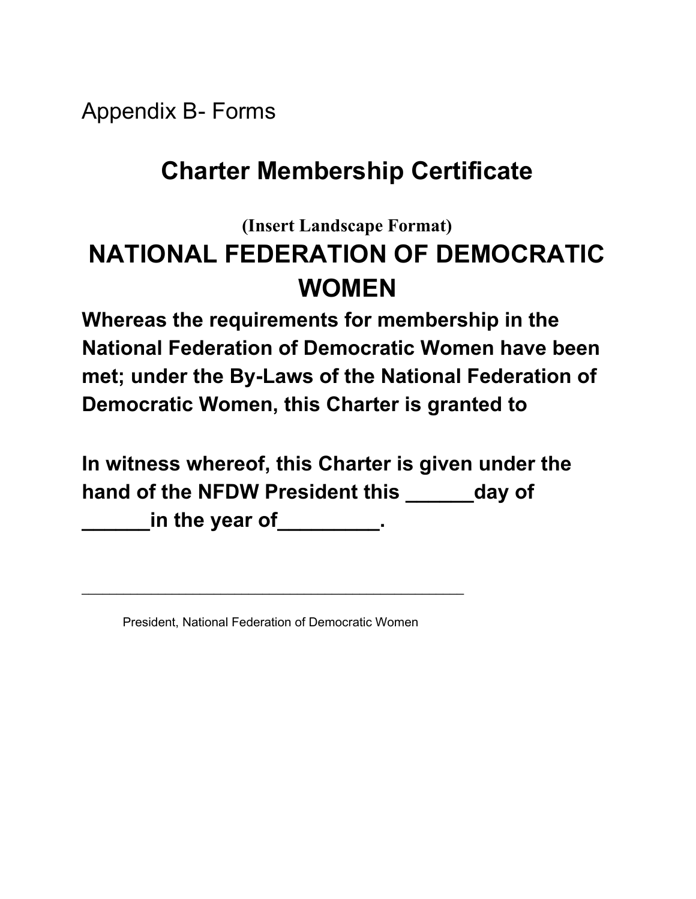Appendix B- Forms

# **Charter Membership Certificate**

# **(Insert Landscape Format) NATIONAL FEDERATION OF DEMOCRATIC WOMEN**

**Whereas the requirements for membership in the National Federation of Democratic Women have been met; under the By-Laws of the National Federation of Democratic Women, this Charter is granted to**

**In witness whereof, this Charter is given under the hand of the NFDW President this \_\_\_\_\_\_day of \_\_\_\_\_\_in the year of\_\_\_\_\_\_\_\_\_.**

President, National Federation of Democratic Women

\_\_\_\_\_\_\_\_\_\_\_\_\_\_\_\_\_\_\_\_\_\_\_\_\_\_\_\_\_\_\_\_\_\_\_\_\_\_\_\_\_\_\_\_\_\_\_\_\_\_\_\_\_\_\_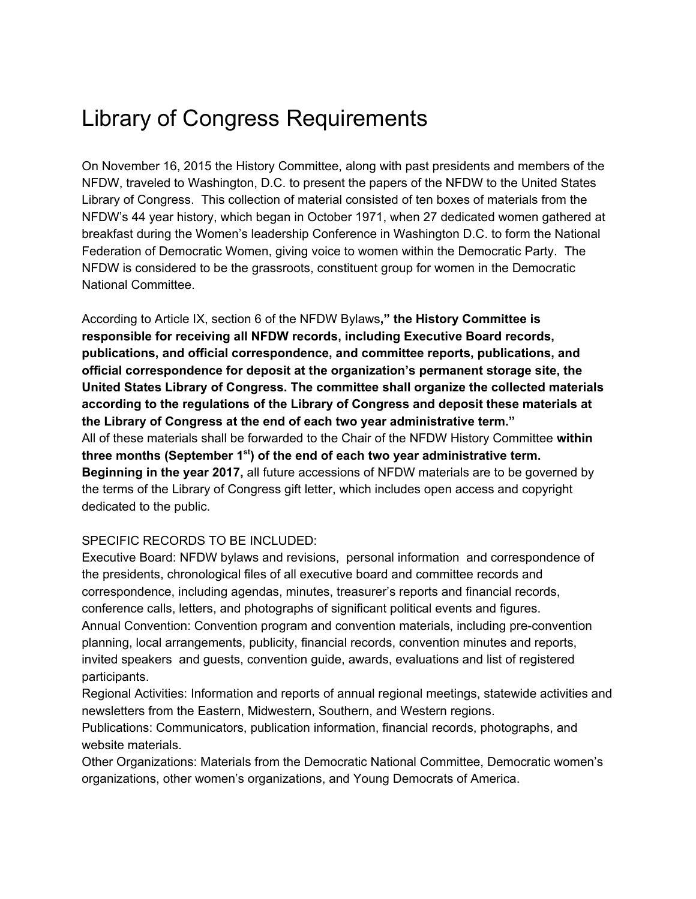# Library of Congress Requirements

On November 16, 2015 the History Committee, along with past presidents and members of the NFDW, traveled to Washington, D.C. to present the papers of the NFDW to the United States Library of Congress. This collection of material consisted of ten boxes of materials from the NFDW's 44 year history, which began in October 1971, when 27 dedicated women gathered at breakfast during the Women's leadership Conference in Washington D.C. to form the National Federation of Democratic Women, giving voice to women within the Democratic Party. The NFDW is considered to be the grassroots, constituent group for women in the Democratic National Committee.

According to Article IX, section 6 of the NFDW Bylaws**," the History Committee is responsible for receiving all NFDW records, including Executive Board records, publications, and official correspondence, and committee reports, publications, and official correspondence for deposit at the organization's permanent storage site, the United States Library of Congress. The committee shall organize the collected materials according to the regulations of the Library of Congress and deposit these materials at the Library of Congress at the end of each two year administrative term."** All of these materials shall be forwarded to the Chair of the NFDW History Committee **within three months (September 1st ) of the end of each two year administrative term. Beginning in the year 2017,** all future accessions of NFDW materials are to be governed by the terms of the Library of Congress gift letter, which includes open access and copyright dedicated to the public.

#### SPECIFIC RECORDS TO BE INCLUDED:

Executive Board: NFDW bylaws and revisions, personal information and correspondence of the presidents, chronological files of all executive board and committee records and correspondence, including agendas, minutes, treasurer's reports and financial records, conference calls, letters, and photographs of significant political events and figures. Annual Convention: Convention program and convention materials, including pre-convention planning, local arrangements, publicity, financial records, convention minutes and reports, invited speakers and guests, convention guide, awards, evaluations and list of registered participants.

Regional Activities: Information and reports of annual regional meetings, statewide activities and newsletters from the Eastern, Midwestern, Southern, and Western regions.

Publications: Communicators, publication information, financial records, photographs, and website materials.

Other Organizations: Materials from the Democratic National Committee, Democratic women's organizations, other women's organizations, and Young Democrats of America.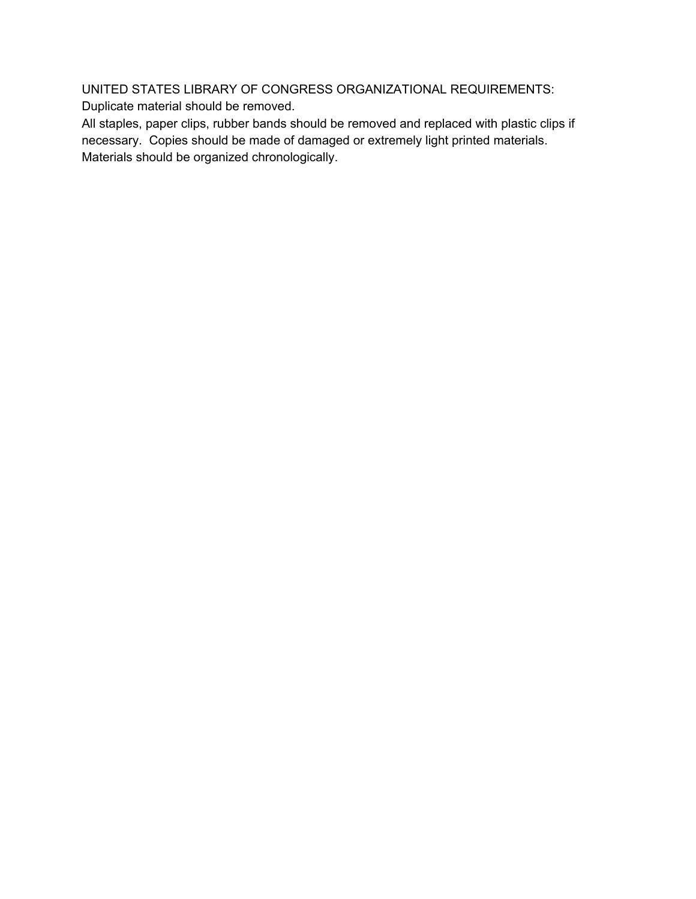UNITED STATES LIBRARY OF CONGRESS ORGANIZATIONAL REQUIREMENTS: Duplicate material should be removed.

All staples, paper clips, rubber bands should be removed and replaced with plastic clips if necessary. Copies should be made of damaged or extremely light printed materials. Materials should be organized chronologically.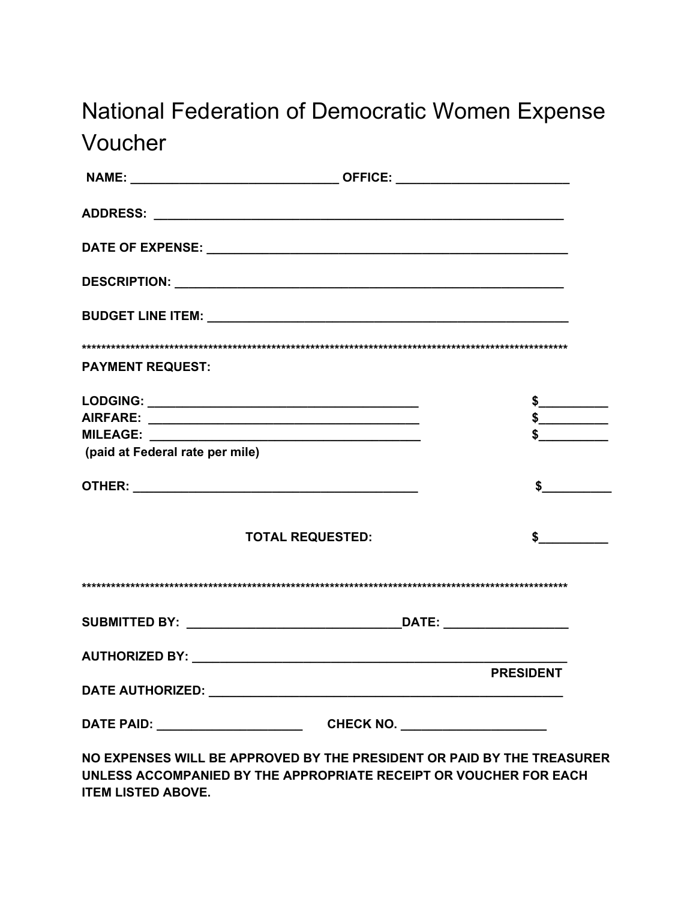# National Federation of Democratic Women Expense Voucher

| <b>PAYMENT REQUEST:</b>         |                                                                                                                                             |                  |
|---------------------------------|---------------------------------------------------------------------------------------------------------------------------------------------|------------------|
|                                 |                                                                                                                                             | $\frac{1}{2}$    |
|                                 |                                                                                                                                             | $\frac{1}{2}$    |
|                                 |                                                                                                                                             |                  |
| (paid at Federal rate per mile) |                                                                                                                                             |                  |
|                                 |                                                                                                                                             | $\sim$           |
|                                 | <b>TOTAL REQUESTED:</b>                                                                                                                     |                  |
|                                 |                                                                                                                                             |                  |
|                                 |                                                                                                                                             |                  |
|                                 |                                                                                                                                             |                  |
|                                 |                                                                                                                                             | <b>PRESIDENT</b> |
|                                 |                                                                                                                                             |                  |
|                                 |                                                                                                                                             |                  |
|                                 | NO EXPENSES WILL BE APPROVED BY THE PRESIDENT OR PAID BY THE TREASURER<br>UNLESS ACCOMPANIED BY THE APPROPRIATE RECEIPT OR VOUCHER FOR EACH |                  |

**ITEM LISTED ABOVE.**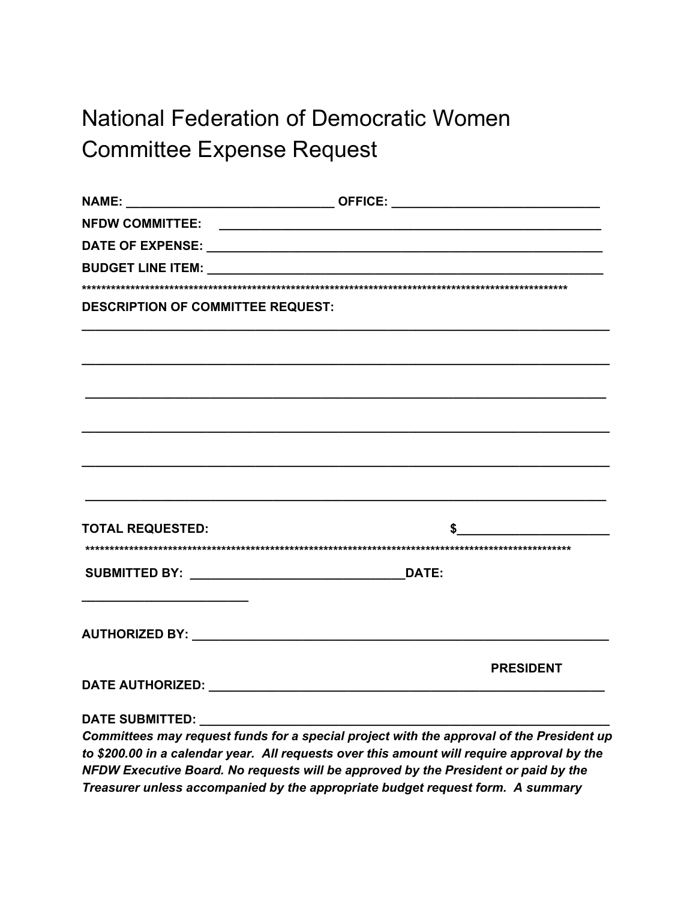# **National Federation of Democratic Women Committee Expense Request**

| <b>DESCRIPTION OF COMMITTEE REQUEST:</b> |                                                                                                                                                                                        |
|------------------------------------------|----------------------------------------------------------------------------------------------------------------------------------------------------------------------------------------|
|                                          |                                                                                                                                                                                        |
|                                          |                                                                                                                                                                                        |
|                                          |                                                                                                                                                                                        |
|                                          |                                                                                                                                                                                        |
|                                          |                                                                                                                                                                                        |
|                                          |                                                                                                                                                                                        |
|                                          |                                                                                                                                                                                        |
|                                          |                                                                                                                                                                                        |
|                                          |                                                                                                                                                                                        |
| <b>TOTAL REQUESTED:</b>                  |                                                                                                                                                                                        |
|                                          |                                                                                                                                                                                        |
|                                          |                                                                                                                                                                                        |
|                                          |                                                                                                                                                                                        |
|                                          |                                                                                                                                                                                        |
|                                          |                                                                                                                                                                                        |
|                                          | <b>PRESIDENT</b>                                                                                                                                                                       |
|                                          |                                                                                                                                                                                        |
|                                          |                                                                                                                                                                                        |
|                                          |                                                                                                                                                                                        |
|                                          | Committees may request funds for a special project with the approval of the President up<br>to \$200.00 in a calcudar year. All requests over this emount will require enproyel by the |

to \$200.00 in a calendar year. All requests over this amount will require approval by the NFDW Executive Board. No requests will be approved by the President or paid by the Treasurer unless accompanied by the appropriate budget request form. A summary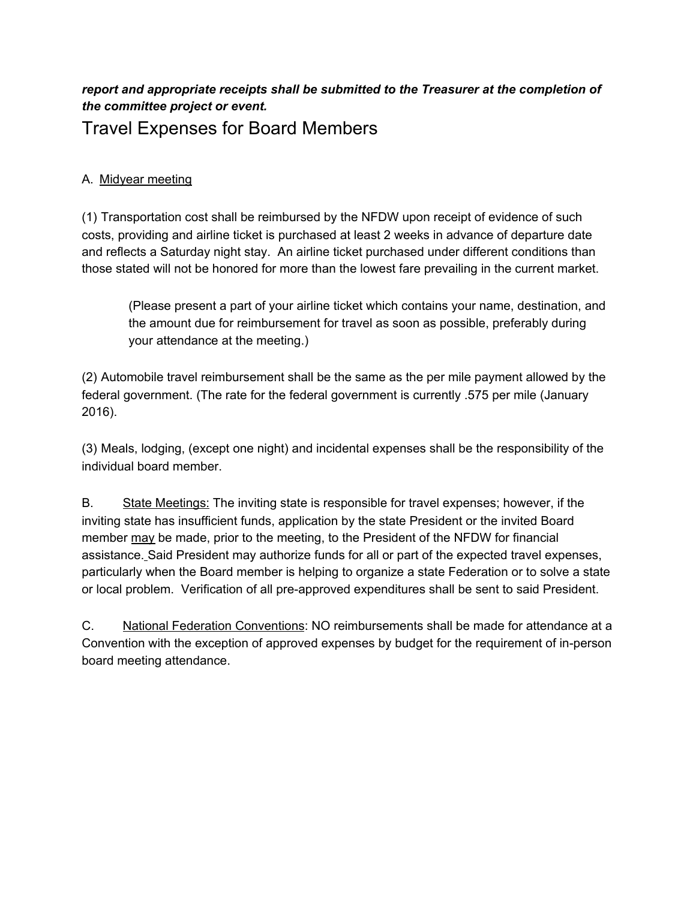#### *report and appropriate receipts shall be submitted to the Treasurer at the completion of the committee project or event.* Travel Expenses for Board Members

#### A. Midyear meeting

(1) Transportation cost shall be reimbursed by the NFDW upon receipt of evidence of such costs, providing and airline ticket is purchased at least 2 weeks in advance of departure date and reflects a Saturday night stay. An airline ticket purchased under different conditions than those stated will not be honored for more than the lowest fare prevailing in the current market.

(Please present a part of your airline ticket which contains your name, destination, and the amount due for reimbursement for travel as soon as possible, preferably during your attendance at the meeting.)

(2) Automobile travel reimbursement shall be the same as the per mile payment allowed by the federal government. (The rate for the federal government is currently .575 per mile (January 2016).

(3) Meals, lodging, (except one night) and incidental expenses shall be the responsibility of the individual board member.

B. State Meetings: The inviting state is responsible for travel expenses; however, if the inviting state has insufficient funds, application by the state President or the invited Board member may be made, prior to the meeting, to the President of the NFDW for financial assistance. Said President may authorize funds for all or part of the expected travel expenses, particularly when the Board member is helping to organize a state Federation or to solve a state or local problem. Verification of all pre-approved expenditures shall be sent to said President.

C. National Federation Conventions: NO reimbursements shall be made for attendance at a Convention with the exception of approved expenses by budget for the requirement of in-person board meeting attendance.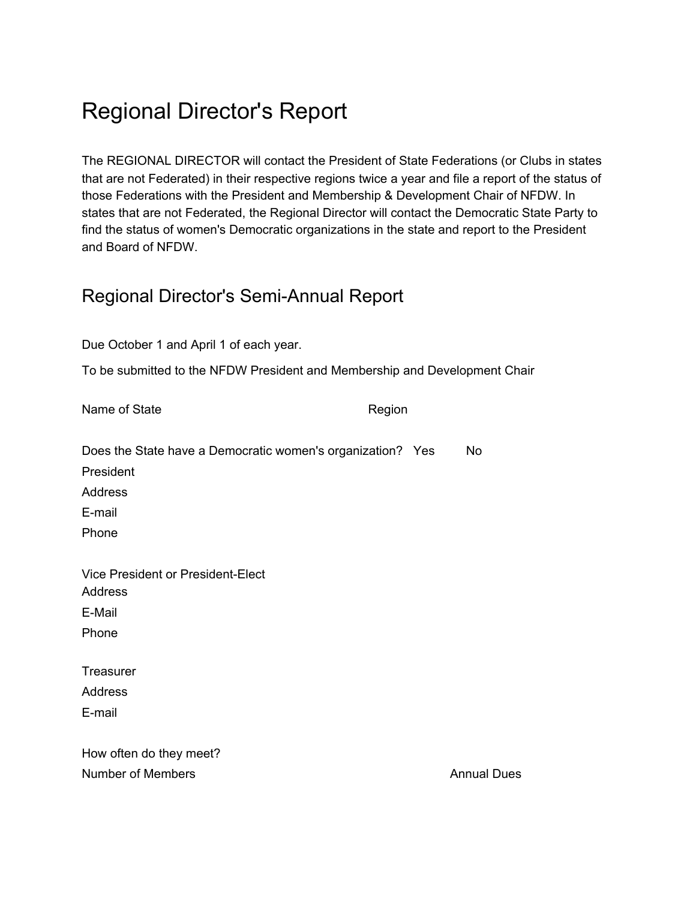# Regional Director's Report

The REGIONAL DIRECTOR will contact the President of State Federations (or Clubs in states that are not Federated) in their respective regions twice a year and file a report of the status of those Federations with the President and Membership & Development Chair of NFDW. In states that are not Federated, the Regional Director will contact the Democratic State Party to find the status of women's Democratic organizations in the state and report to the President and Board of NFDW.

#### Regional Director's Semi-Annual Report

| Due October 1 and April 1 of each year.                                    |        |                    |  |
|----------------------------------------------------------------------------|--------|--------------------|--|
| To be submitted to the NFDW President and Membership and Development Chair |        |                    |  |
| Name of State                                                              | Region |                    |  |
| Does the State have a Democratic women's organization? Yes                 |        | No                 |  |
| President                                                                  |        |                    |  |
| <b>Address</b>                                                             |        |                    |  |
| E-mail                                                                     |        |                    |  |
| Phone                                                                      |        |                    |  |
| <b>Vice President or President-Elect</b><br><b>Address</b>                 |        |                    |  |
| E-Mail                                                                     |        |                    |  |
| Phone                                                                      |        |                    |  |
| Treasurer                                                                  |        |                    |  |
| <b>Address</b>                                                             |        |                    |  |
| E-mail                                                                     |        |                    |  |
| How often do they meet?                                                    |        |                    |  |
| <b>Number of Members</b>                                                   |        | <b>Annual Dues</b> |  |
|                                                                            |        |                    |  |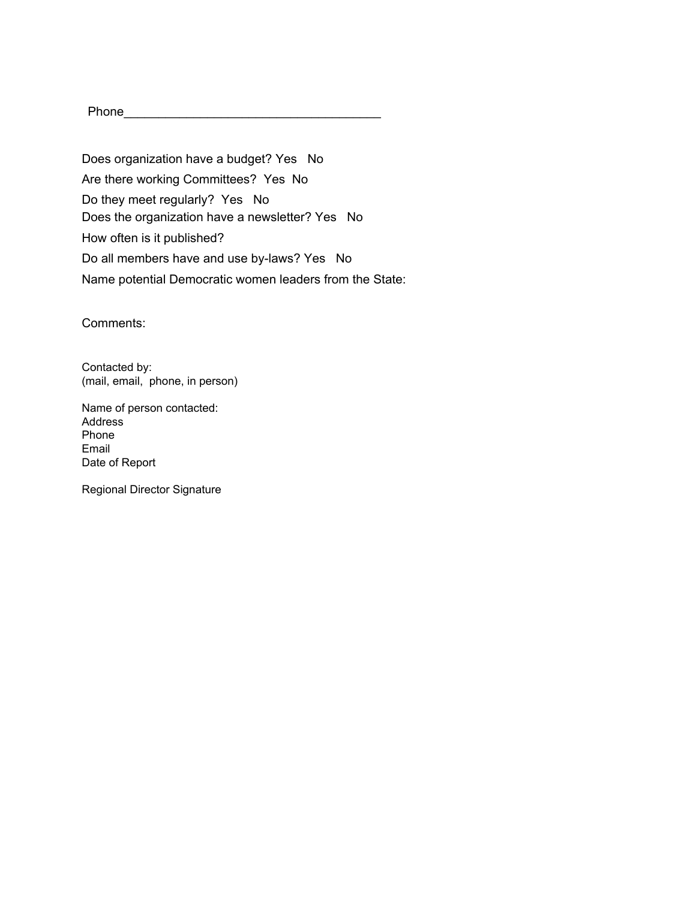Phone\_\_\_\_\_\_\_\_\_\_\_\_\_\_\_\_\_\_\_\_\_\_\_\_\_\_\_\_\_\_\_\_\_\_\_\_\_

Does organization have a budget? Yes No Are there working Committees? Yes No Do they meet regularly? Yes No Does the organization have a newsletter? Yes No How often is it published? Do all members have and use by-laws? Yes No Name potential Democratic women leaders from the State:

Comments:

Contacted by: (mail, email, phone, in person)

Name of person contacted: Address Phone Email Date of Report

Regional Director Signature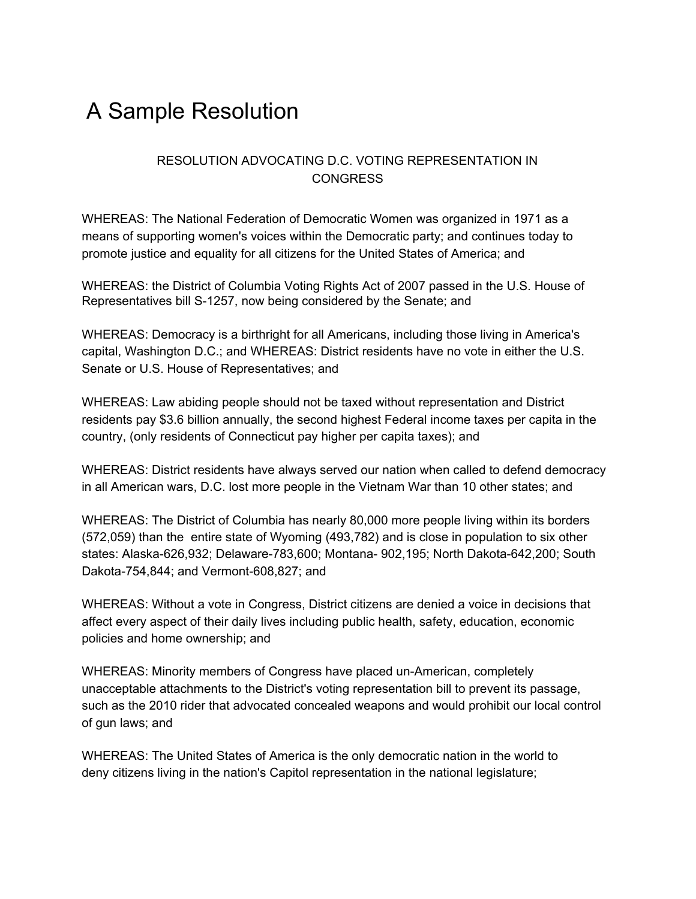## A Sample Resolution

#### RESOLUTION ADVOCATING D.C. VOTING REPRESENTATION IN CONGRESS

WHEREAS: The National Federation of Democratic Women was organized in 1971 as a means of supporting women's voices within the Democratic party; and continues today to promote justice and equality for all citizens for the United States of America; and

WHEREAS: the District of Columbia Voting Rights Act of 2007 passed in the U.S. House of Representatives bill S-1257, now being considered by the Senate; and

WHEREAS: Democracy is a birthright for all Americans, including those living in America's capital, Washington D.C.; and WHEREAS: District residents have no vote in either the U.S. Senate or U.S. House of Representatives; and

WHEREAS: Law abiding people should not be taxed without representation and District residents pay \$3.6 billion annually, the second highest Federal income taxes per capita in the country, (only residents of Connecticut pay higher per capita taxes); and

WHEREAS: District residents have always served our nation when called to defend democracy in all American wars, D.C. lost more people in the Vietnam War than 10 other states; and

WHEREAS: The District of Columbia has nearly 80,000 more people living within its borders (572,059) than the entire state of Wyoming (493,782) and is close in population to six other states: Alaska-626,932; Delaware-783,600; Montana- 902,195; North Dakota-642,200; South Dakota-754,844; and Vermont-608,827; and

WHEREAS: Without a vote in Congress, District citizens are denied a voice in decisions that affect every aspect of their daily lives including public health, safety, education, economic policies and home ownership; and

WHEREAS: Minority members of Congress have placed un-American, completely unacceptable attachments to the District's voting representation bill to prevent its passage, such as the 2010 rider that advocated concealed weapons and would prohibit our local control of gun laws; and

WHEREAS: The United States of America is the only democratic nation in the world to deny citizens living in the nation's Capitol representation in the national legislature;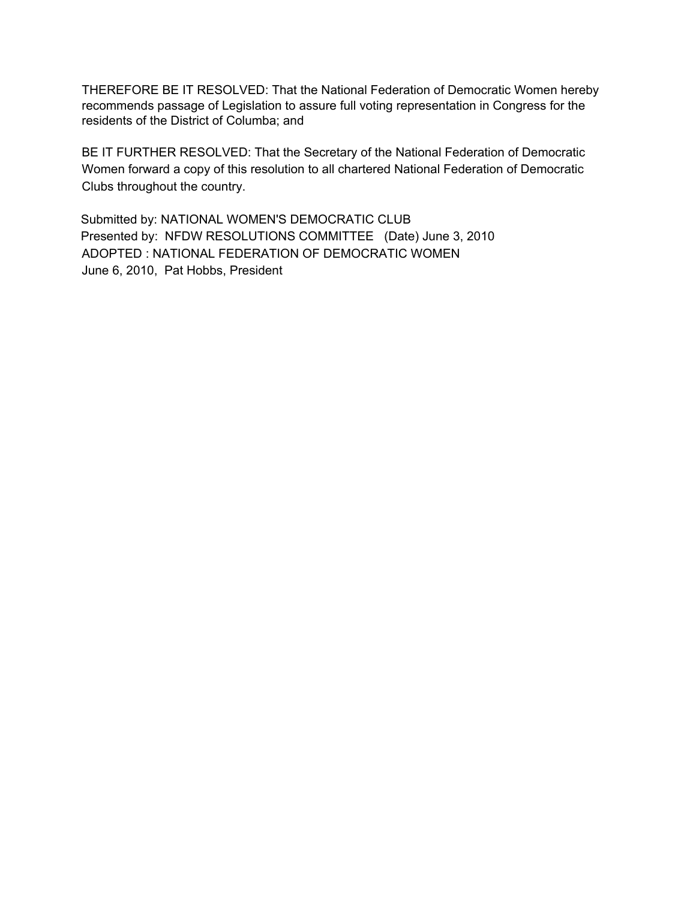THEREFORE BE IT RESOLVED: That the National Federation of Democratic Women hereby recommends passage of Legislation to assure full voting representation in Congress for the residents of the District of Columba; and

BE IT FURTHER RESOLVED: That the Secretary of the National Federation of Democratic Women forward a copy of this resolution to all chartered National Federation of Democratic Clubs throughout the country.

Submitted by: NATIONAL WOMEN'S DEMOCRATIC CLUB Presented by: NFDW RESOLUTIONS COMMITTEE (Date) June 3, 2010 ADOPTED : NATIONAL FEDERATION OF DEMOCRATIC WOMEN June 6, 2010, Pat Hobbs, President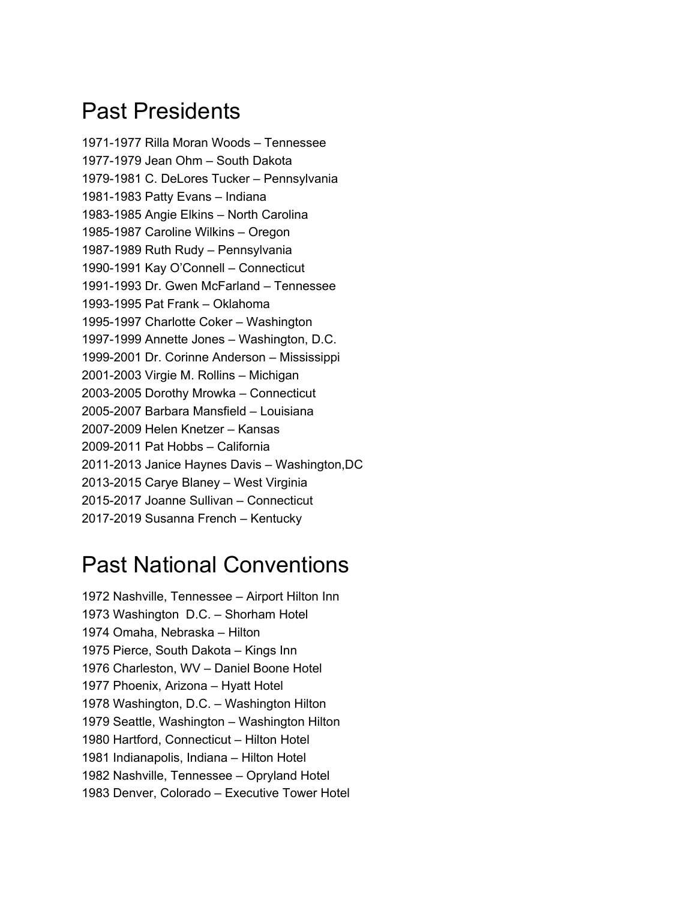## Past Presidents

1971-1977 Rilla Moran Woods – Tennessee 1977-1979 Jean Ohm – South Dakota 1979-1981 C. DeLores Tucker – Pennsylvania 1981-1983 Patty Evans – Indiana 1983-1985 Angie Elkins – North Carolina 1985-1987 Caroline Wilkins – Oregon 1987-1989 Ruth Rudy – Pennsylvania 1990-1991 Kay O'Connell – Connecticut 1991-1993 Dr. Gwen McFarland – Tennessee 1993-1995 Pat Frank – Oklahoma 1995-1997 Charlotte Coker – Washington 1997-1999 Annette Jones – Washington, D.C. 1999-2001 Dr. Corinne Anderson – Mississippi 2001-2003 Virgie M. Rollins – Michigan 2003-2005 Dorothy Mrowka – Connecticut 2005-2007 Barbara Mansfield – Louisiana 2007-2009 Helen Knetzer – Kansas 2009-2011 Pat Hobbs – California 2011-2013 Janice Haynes Davis – Washington,DC 2013-2015 Carye Blaney – West Virginia 2015-2017 Joanne Sullivan – Connecticut 2017-2019 Susanna French – Kentucky

## Past National Conventions

 Nashville, Tennessee – Airport Hilton Inn Washington D.C. – Shorham Hotel Omaha, Nebraska – Hilton Pierce, South Dakota – Kings Inn Charleston, WV – Daniel Boone Hotel Phoenix, Arizona – Hyatt Hotel Washington, D.C. – Washington Hilton Seattle, Washington – Washington Hilton Hartford, Connecticut – Hilton Hotel Indianapolis, Indiana – Hilton Hotel Nashville, Tennessee – Opryland Hotel Denver, Colorado – Executive Tower Hotel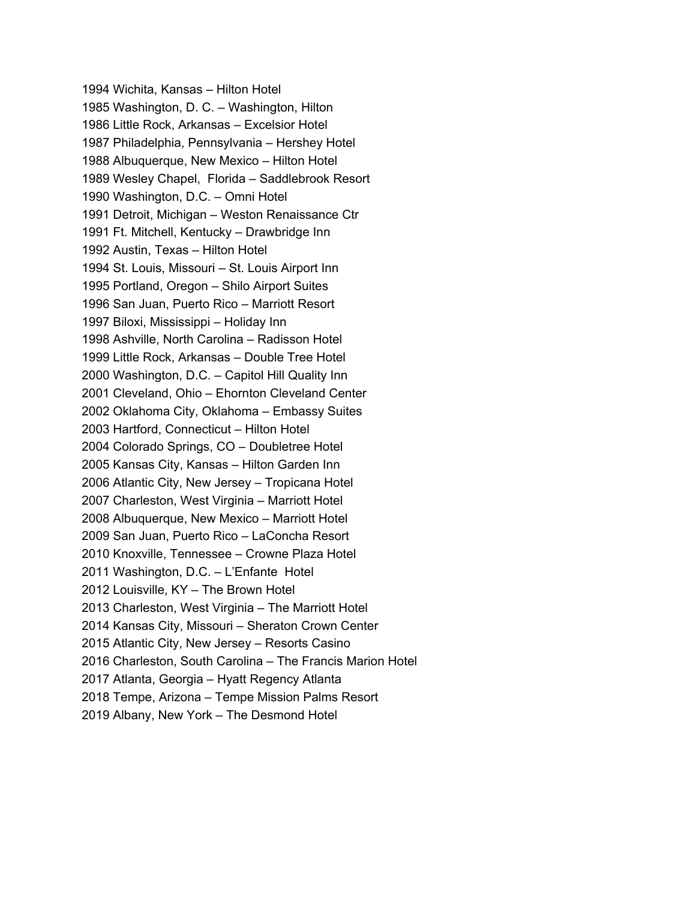Wichita, Kansas – Hilton Hotel Washington, D. C. – Washington, Hilton Little Rock, Arkansas – Excelsior Hotel Philadelphia, Pennsylvania – Hershey Hotel Albuquerque, New Mexico – Hilton Hotel Wesley Chapel, Florida – Saddlebrook Resort Washington, D.C. – Omni Hotel Detroit, Michigan – Weston Renaissance Ctr Ft. Mitchell, Kentucky – Drawbridge Inn Austin, Texas – Hilton Hotel St. Louis, Missouri – St. Louis Airport Inn Portland, Oregon – Shilo Airport Suites San Juan, Puerto Rico – Marriott Resort Biloxi, Mississippi – Holiday Inn Ashville, North Carolina – Radisson Hotel Little Rock, Arkansas – Double Tree Hotel Washington, D.C. – Capitol Hill Quality Inn Cleveland, Ohio – Ehornton Cleveland Center Oklahoma City, Oklahoma – Embassy Suites Hartford, Connecticut – Hilton Hotel Colorado Springs, CO – Doubletree Hotel Kansas City, Kansas – Hilton Garden Inn Atlantic City, New Jersey – Tropicana Hotel Charleston, West Virginia – Marriott Hotel Albuquerque, New Mexico – Marriott Hotel San Juan, Puerto Rico – LaConcha Resort Knoxville, Tennessee – Crowne Plaza Hotel Washington, D.C. – L'Enfante Hotel Louisville, KY – The Brown Hotel Charleston, West Virginia – The Marriott Hotel Kansas City, Missouri – Sheraton Crown Center Atlantic City, New Jersey – Resorts Casino Charleston, South Carolina – The Francis Marion Hotel Atlanta, Georgia – Hyatt Regency Atlanta Tempe, Arizona – Tempe Mission Palms Resort Albany, New York – The Desmond Hotel